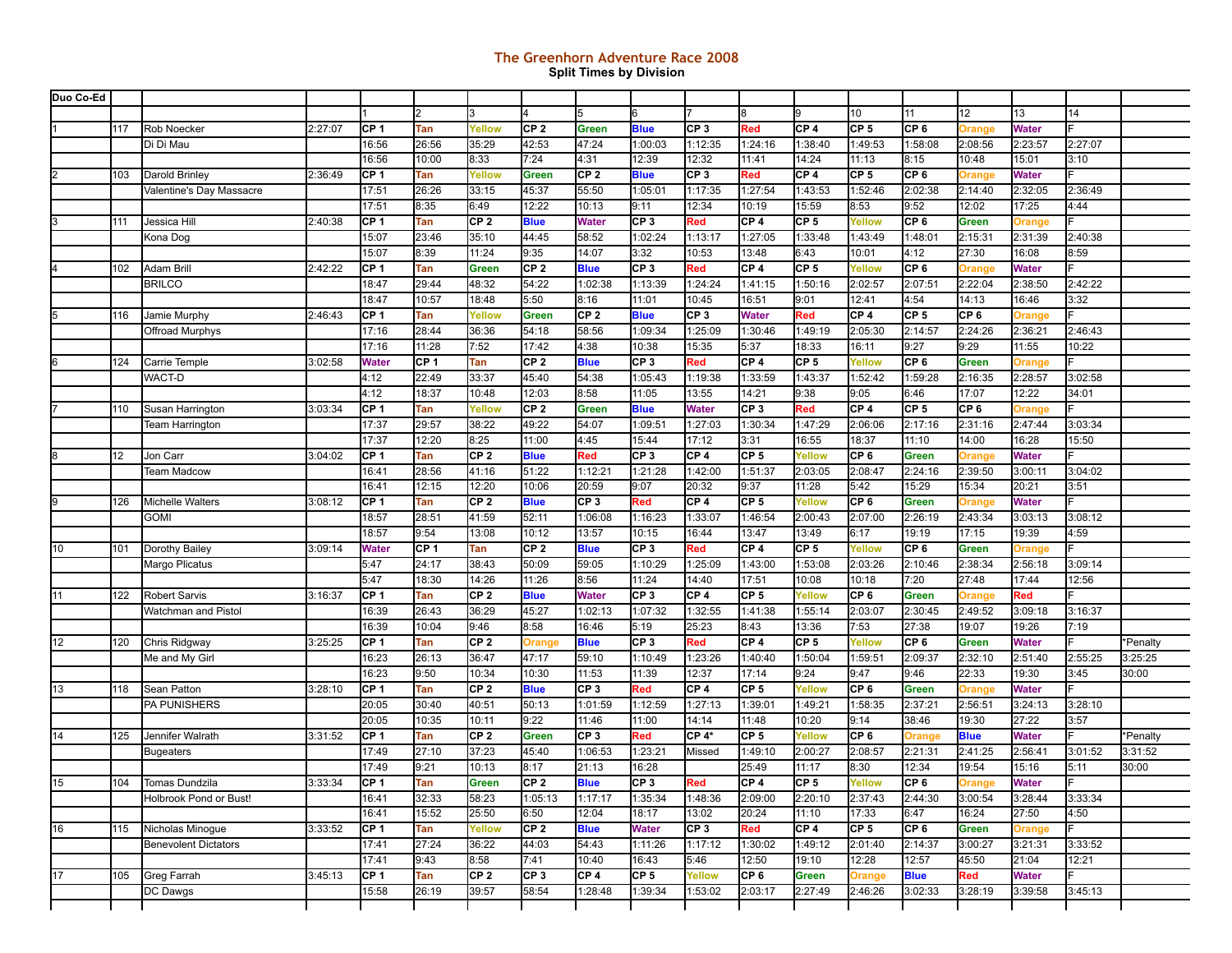## **The Greenhorn Adventure Race 2008 Split Times by Division**

| Duo Co-Ed |     |                             |         |                 |               |                 |                 |                        |                 |                  |                       |                 |                          |                         |                   |                  |                 |          |
|-----------|-----|-----------------------------|---------|-----------------|---------------|-----------------|-----------------|------------------------|-----------------|------------------|-----------------------|-----------------|--------------------------|-------------------------|-------------------|------------------|-----------------|----------|
|           |     |                             |         |                 |               |                 |                 |                        | 6               |                  |                       | l9              | 10                       | 11                      | 12                | 13               | 14              |          |
|           | 117 | Rob Noecker                 | 2:27:07 | CP 1            | Tan           | Yellow          | CP <sub>2</sub> | Green                  | <b>Blue</b>     | CP <sub>3</sub>  | Red                   | CP 4            | CP <sub>5</sub>          | CP <sub>6</sub>         | Orange            | <b>Water</b>     |                 |          |
|           |     | Di Di Mau                   |         | 16:56           | 26:56         | 35:29           | 42:53           | 47:24                  | 1:00:03         | 1:12:35          | 1:24:16               | 1:38:40         | 1:49:53                  | 1:58:08                 | 2:08:56           | 2:23:57          | 2:27:07         |          |
|           |     |                             |         | 16:56           | 10:00         | 8:33            | 7:24            | 4:31                   | 12:39           | 12:32            | 11:41                 | 14:24           | 11:13                    | 8:15                    | 10:48             | 15:01            | 3:10            |          |
|           | 103 | Darold Brinley              | 2:36:49 | CP <sub>1</sub> | Tan           | Yellow          | <b>Green</b>    | CP <sub>2</sub>        | <b>Blue</b>     | CP <sub>3</sub>  | Red                   | CP 4            | CP <sub>5</sub>          | CP <sub>6</sub>         |                   | <b>Water</b>     |                 |          |
|           |     | Valentine's Day Massacre    |         | 17:51           | 26:26         | 33:15           | 45:37           | 55:50                  | 1:05:01         | 1:17:35          | 1:27:54               | 1:43:53         | 1:52:46                  | 2:02:38                 | Orange<br>2:14:40 | 2:32:05          | 2:36:49         |          |
|           |     |                             |         | 17:51           | 8:35          | 6:49            | 12:22           | 10:13                  | 9:11            | 12:34            | 10:19                 | 15:59           | 8:53                     | 9:52                    | 12:02             | 17:25            | 4:44            |          |
|           | 111 |                             | 2:40:38 | CP 1            | Tan           | CP <sub>2</sub> | <b>Blue</b>     |                        | CP <sub>3</sub> | Red              | CP 4                  | CP <sub>5</sub> | Yellow                   | CP <sub>6</sub>         | <b>Green</b>      |                  |                 |          |
|           |     | Jessica Hill                |         |                 |               | 35:10           |                 | <b>Water</b>           |                 |                  | 1:27:05               |                 |                          |                         |                   | Orange           |                 |          |
|           |     | Kona Dog                    |         | 15:07<br>15:07  | 23:46<br>8:39 | 11:24           | 44:45<br>9:35   | 58:52<br>14:07         | 1:02:24<br>3:32 | 1:13:17<br>10:53 | 13:48                 | 1:33:48<br>6:43 | 1:43:49<br>10:01         | 1:48:01<br>4:12         | 2:15:31<br>27:30  | 2:31:39<br>16:08 | 2:40:38<br>8:59 |          |
|           | 102 | <b>Adam Brill</b>           | 2:42:22 | CP <sub>1</sub> | Tan           | <b>Green</b>    | CP <sub>2</sub> |                        | CP <sub>3</sub> | Red              | CP 4                  | CP 5            | Yellow                   | CP <sub>6</sub>         |                   | <b>Water</b>     |                 |          |
|           |     | <b>BRILCO</b>               |         | 18:47           |               | 48:32           |                 | <b>Blue</b><br>1:02:38 |                 | 1:24:24          |                       |                 |                          |                         | Orange            |                  | 2:42:22         |          |
|           |     |                             |         |                 | 29:44         |                 | 54:22           |                        | 1:13:39         | 10:45            | 1:41:15               | 1:50:16         | 2:02:57                  | 2:07:51                 | 2:22:04           | 2:38:50<br>16:46 | 3:32            |          |
|           |     |                             |         | 18:47<br>CF 1   | 10:57         | 18:48           | 5:50            | 8:16                   | 11:01           | CP <sub>3</sub>  | 16:51<br><b>Water</b> | 9:01<br>Red     | 12:41<br>CP <sub>4</sub> | 4:54<br>CP <sub>5</sub> | 14:13<br>CP 6     |                  |                 |          |
|           | 116 | Jamie Murphy                | 2:46:43 |                 | Tan           | Yellow          | <b>Green</b>    | CP <sub>2</sub>        | <b>Blue</b>     |                  |                       |                 |                          |                         |                   | Orange           |                 |          |
|           |     | Offroad Murphys             |         | 17:16           | 28:44         | 36:36           | 54:18           | 58:56                  | 1:09:34         | 1:25:09          | 1:30:46               | 1:49:19         | 2:05:30                  | 2:14:57                 | 2:24:26           | 2:36:21          | 2:46:43         |          |
|           |     |                             |         | 17:16           | 11:28         | 7:52            | 17:42           | 4:38                   | 10:38           | 15:35            | 5:37                  | 18:33           | 16:11                    | 9:27                    | 9:29              | 11:55            | 10:22           |          |
|           | 124 | Carrie Temple               | 3:02:58 | <b>Water</b>    | CP 1          | Tan             | CP <sub>2</sub> | <b>Blue</b>            | CP <sub>3</sub> | Red              | CP 4                  | CP 5            | Yellow                   | CP <sub>6</sub>         | <b>Green</b>      | Orange           |                 |          |
|           |     | WACT-D                      |         | 4:12            | 22:49         | 33:37           | 45:40           | 54:38                  | 1:05:43         | 1:19:38          | 1:33:59               | 1:43:37         | 1:52:42                  | 1:59:28                 | 2:16:35           | 2:28:57          | 3:02:58         |          |
|           |     |                             |         | 4:12            | 18:37         | 10:48           | 12:03           | 8:58                   | 11:05           | 13:55            | 14:21                 | 9:38            | 9:05                     | 6:46                    | 17:07             | 12:22            | 34:01           |          |
|           | 110 | Susan Harrington            | 3:03:34 | CP <sub>1</sub> | Tan           | Yellow          | CP <sub>2</sub> | Green                  | <b>Blue</b>     | <b>Water</b>     | CP <sub>3</sub>       | Red             | CP <sub>4</sub>          | CP <sub>5</sub>         | CP 6              | Orange           |                 |          |
|           |     | <b>Team Harrington</b>      |         | 17:37           | 29:57         | 38:22           | 49:22           | 54:07                  | 1:09:51         | 1:27:03          | 1:30:34               | 1:47:29         | 2:06:06                  | 2:17:16                 | 2:31:16           | 2:47:44          | 3:03:34         |          |
|           |     |                             |         | 17:37           | 12:20         | 8:25            | 11:00           | 4:45                   | 15:44           | 17:12            | 3:31                  | 16:55           | 18:37                    | 11:10                   | 14:00             | 16:28            | 15:50           |          |
|           | 12  | Jon Carr                    | 3:04:02 | CP <sub>1</sub> | Tan           | CP <sub>2</sub> | <b>Blue</b>     | Red                    | CP <sub>3</sub> | CP <sub>4</sub>  | CP <sub>5</sub>       | <b>Yellow</b>   | CP 6                     | Green                   | Orange            | <b>Water</b>     |                 |          |
|           |     | <b>Team Madcow</b>          |         | 16:41           | 28:56         | 41:16           | 51:22           | 1:12:21                | 1:21:28         | 1:42:00          | 1:51:37               | 2:03:05         | 2:08:47                  | 2:24:16                 | 2:39:50           | 3:00:11          | 3:04:02         |          |
|           |     |                             |         | 16:41           | 12:15         | 12:20           | 10:06           | 20:59                  | 9:07            | 20:32            | 9:37                  | 11:28           | 5:42                     | 15:29                   | 15:34             | 20:21            | 3:51            |          |
|           | 126 | Michelle Walters            | 3:08:12 | CF 1            | Tan           | CP <sub>2</sub> | <b>Blue</b>     | CP <sub>3</sub>        | Red             | CP 4             | CP <sub>5</sub>       | Yellow          | CP 6                     | Green                   | Orange            | <b>Water</b>     |                 |          |
|           |     | gomi                        |         | 18:57           | 28:51         | 41:59           | 52:11           | 1:06:08                | 1:16:23         | 1:33:07          | 1:46:54               | 2:00:43         | 2:07:00                  | 2:26:19                 | 2:43:34           | 3:03:13          | 3:08:12         |          |
|           |     |                             |         | 18:57           | 9:54          | 13:08           | 10:12           | 13:57                  | 10:15           | 16:44            | 13:47                 | 13:49           | 6:17                     | 19:19                   | 17:15             | 19:39            | 4:59            |          |
| 10        | 101 | Dorothy Bailey              | 3:09:14 | <b>Water</b>    | CP 1          | Tan             | CP <sub>2</sub> | <b>Blue</b>            | CP <sub>3</sub> | Red              | CP 4                  | CP 5            | Yellow                   | CP <sub>6</sub>         | Green             | Orange           |                 |          |
|           |     | Margo Plicatus              |         | 5:47            | 24:17         | 38:43           | 50:09           | 59:05                  | 1:10:29         | 1:25:09          | 1:43:00               | 1:53:08         | 2:03:26                  | 2:10:46                 | 2:38:34           | 2:56:18          | 3:09:14         |          |
|           |     |                             |         | 5:47            | 18:30         | 14:26           | 11:26           | 8:56                   | 11:24           | 14:40            | 17:51                 | 10:08           | 10:18                    | 7:20                    | 27:48             | 17:44            | 12:56           |          |
| 11        | 122 | <b>Robert Sarvis</b>        | 3:16:37 | ICP 1           | Tan           | CP <sub>2</sub> | <b>Blue</b>     | <b>Water</b>           | CP <sub>3</sub> | CP <sub>4</sub>  | CP <sub>5</sub>       | Yellow          | CP 6                     | Green                   | Orange            | Red              |                 |          |
|           |     | Watchman and Pistol         |         | 16:39           | 26:43         | 36:29           | 45:27           | 1:02:13                | 1:07:32         | 1:32:55          | 1:41:38               | 1:55:14         | 2:03:07                  | 2:30:45                 | 2:49:52           | 3:09:18          | 3:16:37         |          |
|           |     |                             |         | 16:39           | 10:04         | 9:46            | 8:58            | 16:46                  | 5:19            | 25:23            | 8:43                  | 13:36           | 7:53                     | 27:38                   | 19:07             | 19:26            | 7:19            |          |
| 12        | 120 | Chris Ridgway               | 3:25:25 | CF1             | Tan           | CP <sub>2</sub> | Orange          | <b>Blue</b>            | CP <sub>3</sub> | Red              | CP <sub>4</sub>       | CP 5            | Yellow                   | CP <sub>6</sub>         | Green             | <b>Water</b>     |                 | *Penalty |
|           |     | Me and My Girl              |         | 16:23           | 26:13         | 36:47           | 47:17           | 59:10                  | 1:10:49         | 1:23:26          | 1:40:40               | 1:50:04         | 1:59:51                  | 2:09:37                 | 2:32:10           | 2:51:40          | 2:55:25         | 3:25:25  |
|           |     |                             |         | 16:23           | 9:50          | 10:34           | 10:30           | 11:53                  | 11:39           | 12:37            | 17:14                 | 9:24            | 9:47                     | 9:46                    | 22:33             | 19:30            | 3:45            | 30:00    |
| 13        | 118 | Sean Patton                 | 3:28:10 | CP <sub>1</sub> | Tan           | CP <sub>2</sub> | <b>Blue</b>     | CP <sub>3</sub>        | Red             | CP <sub>4</sub>  | CP <sub>5</sub>       | Yellow          | CP <sub>6</sub>          | Green                   | Orange            | <b>Water</b>     |                 |          |
|           |     | PA PUNISHERS                |         | 20:05           | 30:40         | 40:51           | 50:13           | 1:01:59                | 1:12:59         | 1:27:13          | 1:39:01               | 1:49:21         | 1:58:35                  | 2:37:21                 | 2:56:51           | 3:24:13          | 3:28:10         |          |
|           |     |                             |         | 20:05           | 10:35         | 10:11           | 9:22            | 11:46                  | 11:00           | 14:14            | 11:48                 | 10:20           | 9:14                     | 38:46                   | 19:30             | 27:22            | 3:57            |          |
| 14        | 125 | Jennifer Walrath            | 3:31:52 | ICP 1           | Tan           | CP <sub>2</sub> | <b>Green</b>    | CP <sub>3</sub>        | Red             | $CP 4*$          | CP <sub>5</sub>       | <b>Yellow</b>   | CP <sub>6</sub>          | Orange                  | <b>Blue</b>       | <b>Water</b>     |                 | *Penalty |
|           |     | <b>Bugeaters</b>            |         | 17:49           | 27:10         | 37:23           | 45:40           | 1:06:53                | 1:23:21         | Missed           | 1:49:10               | 2:00:27         | 2:08:57                  | 2:21:31                 | 2:41:25           | 2:56:41          | 3:01:52         | 3:31:52  |
|           |     |                             |         | 17:49           | 9:21          | 10:13           | 8:17            | 21:13                  | 16:28           |                  | 25:49                 | 11:17           | 8:30                     | 12:34                   | 19:54             | 15:16            | 5:11            | 30:00    |
| 15        |     | 104   Tomas Dundzila        | 3:33:34 | ICP 1           | Tan           | Green           | ICP 2           | <b>Blue</b>            | CP <sub>3</sub> | Red              | CP <sub>4</sub>       | ICP 5           | Yellow                   | ICP 6                   | <b>Orange</b>     | <b>Water</b>     | F               |          |
|           |     | Holbrook Pond or Bust!      |         | 16:41           | 32:33         | 58:23           | 1:05:13         | 1:17:17                | 1:35:34         | 1:48:36          | 2:09:00               | 2:20:10         | 2:37:43                  | 2:44:30                 | 3:00:54           | 3:28:44          | 3:33:34         |          |
|           |     |                             |         | 16:41           | 15:52         | 25:50           | 6:50            | 12:04                  | 18:17           | 13:02            | 20:24                 | 11:10           | 17:33                    | 6:47                    | 16:24             | 27:50            | 4:50            |          |
| 16        | 115 | Nicholas Minogue            | 3:33:52 | CP <sub>1</sub> | Tan           | Yellow          | CP <sub>2</sub> | <b>Blue</b>            | Water           | ICP 3            | Red                   | ICP 4           | CP <sub>5</sub>          | CP 6                    | Green             | Orange           |                 |          |
|           |     | <b>Benevolent Dictators</b> |         | 17:41           | 27:24         | 36:22           | 44:03           | 54:43                  | 1:11:26         | 1:17:12          | 1:30:02               | 1:49:12         | 2:01:40                  | 2:14:37                 | 3:00:27           | 3:21:31          | 3:33:52         |          |
|           |     |                             |         | 17:41           | 9:43          | 8:58            | 7:41            | 10:40                  | 16:43           | 5:46             | 12:50                 | 19:10           | 12:28                    | 12:57                   | 45:50             | 21:04            | 12:21           |          |
| 17        | 105 | Greg Farrah                 | 3:45:13 | ICP 1           | Tan           | CP 2            | CP 3            | CP 4                   | CP <sub>5</sub> | Yellow           | CP 6                  | Green           | Orange                   | <b>Blue</b>             | Red               | <b>Water</b>     |                 |          |
|           |     | DC Dawgs                    |         | 15:58           | 26:19         | 39:57           | 58:54           | 1:28:48                | 1:39:34         | 1:53:02          | 2:03:17               | 2:27:49         | 2:46:26                  | 3:02:33                 | 3:28:19           | 3:39:58          | 3:45:13         |          |
|           |     |                             |         |                 |               |                 |                 |                        |                 |                  |                       |                 |                          |                         |                   |                  |                 |          |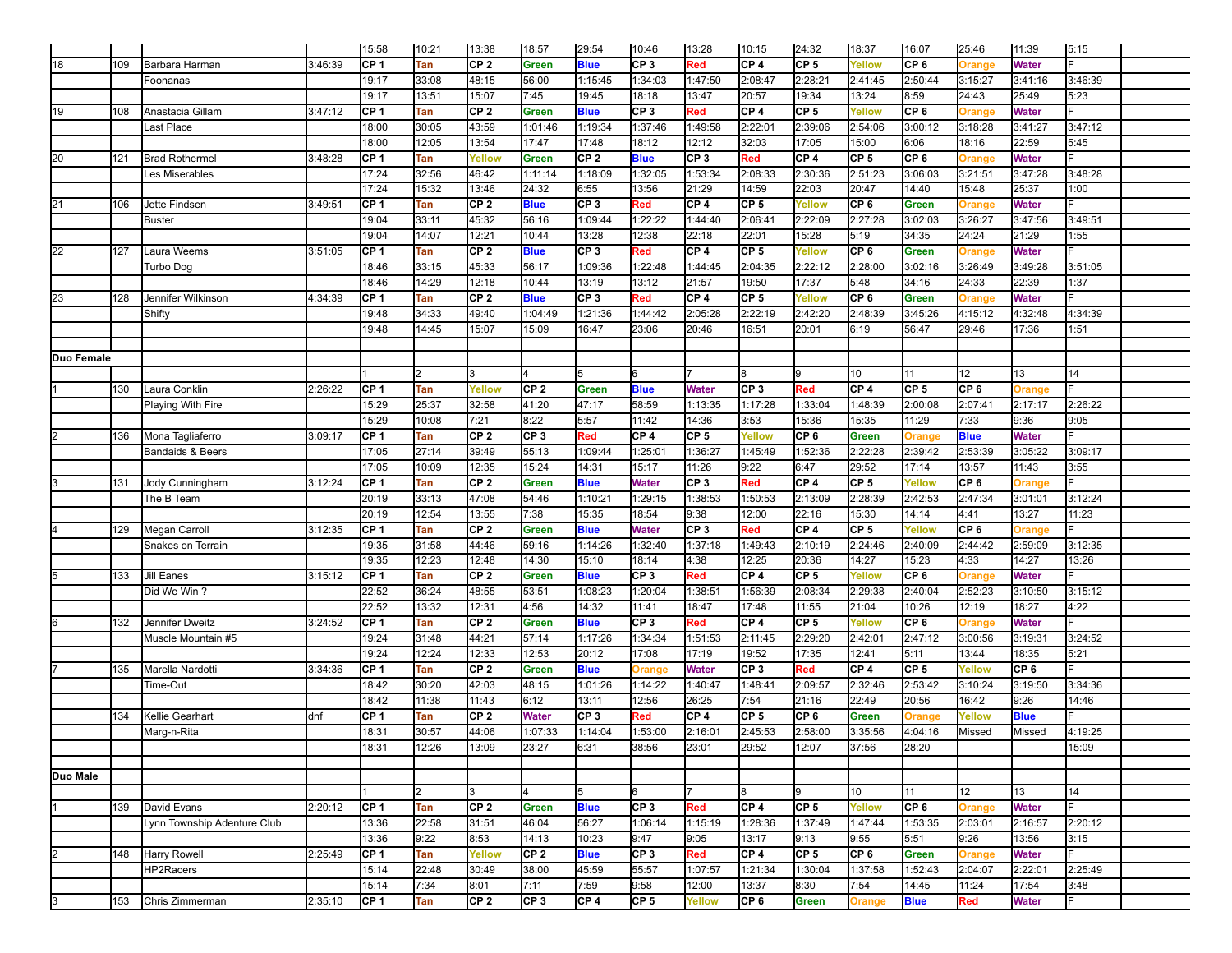|            |     |                             |         | 15:58           | 10:21 | 13:38           | 18:57                   | 29:54           | 10:46                   | 13:28           | 10:15           | 24:32           | 18:37           | 16:07           | 25:46           | 11:39                 | 5:15    |  |
|------------|-----|-----------------------------|---------|-----------------|-------|-----------------|-------------------------|-----------------|-------------------------|-----------------|-----------------|-----------------|-----------------|-----------------|-----------------|-----------------------|---------|--|
| 18         | 109 | Barbara Harman              | 3:46:39 | ICP 1           | Tan   | CP 2            | <b>Green</b>            | <b>Blue</b>     | CP <sub>3</sub>         | Red             | CP <sub>4</sub> | CP <sub>5</sub> | Yellow          | CP 6            | Orange          | <b>Water</b>          |         |  |
|            |     | Foonanas                    |         | 19:17           | 33:08 | 48:15           | 56:00                   | 1:15:45         | 1:34:03                 | 1:47:50         | 2:08:47         | 2:28:21         | 2:41:45         | 2:50:44         | 3:15:27         | 3:41:16               | 3:46:39 |  |
|            |     |                             |         | 19:17           | 13:51 | 15:07           | 7:45                    | 19:45           | 18:18                   | 13:47           | 20:57           | 19:34           | 13:24           | 8:59            | 24:43           | 25:49                 | 5:23    |  |
| 19         | 108 | Anastacia Gillam            | 3:47:12 | ICP 1           | Tan   | CP 2            | <b>Green</b>            | <b>Blue</b>     | CP <sub>3</sub>         | Red             | CP <sub>4</sub> | CP <sub>5</sub> | Yellow          | CP <sub>6</sub> | Orange          | <b>Water</b>          |         |  |
|            |     | ast Place                   |         | 18:00           | 30:05 | 43:59           | 1:01:46                 | 1:19:34         | 1:37:46                 | 1:49:58         | 2:22:01         | 2:39:06         | 2:54:06         | 3:00:12         | 3:18:28         | 3:41:27               | 3:47:12 |  |
|            |     |                             |         | 18:00           | 12:05 | 13:54           | 17:47                   | 17:48           | 18:12                   | 12:12           | 32:03           | 17:05           | 15:00           | 6:06            | 18:16           | 22:59                 | 5:45    |  |
| 20         | 121 | <b>Brad Rothermel</b>       | 3:48:28 | CP <sub>1</sub> | Tan   | Yellow          | <b>Green</b>            | CP <sub>2</sub> | <b>Blue</b>             | CP <sub>3</sub> | Red             | CP <sub>4</sub> | CP <sub>5</sub> | CP <sub>6</sub> | <b>Orange</b>   | <b>Water</b>          |         |  |
|            |     | es Miserables               |         | 17:24           | 32:56 | 46:42           | 1:11:14                 | 1:18:09         | 1:32:05                 | 1:53:34         | 2:08:33         | 2:30:36         | 2:51:23         | 3:06:03         | 3:21:51         | 3:47:28               | 3:48:28 |  |
|            |     |                             |         | 17:24           | 15:32 | 13:46           | 24:32                   | 6:55            | 13:56                   | 21:29           | 14:59           | 22:03           | 20:47           | 14:40           | 15:48           | 25:37                 | 1:00    |  |
| 21         | 106 | Jette Findsen               | 3:49:51 | CP <sub>1</sub> | Tan   | CP <sub>2</sub> | <b>Blue</b>             | CP <sub>3</sub> | Red                     | CP <sub>4</sub> | CP <sub>5</sub> | Yellow          | CP 6            | Green           | Orange          | <b>Water</b>          |         |  |
|            |     | <b>Buster</b>               |         | 19:04           | 33:11 | 45:32           | 56:16                   | 1:09:44         | 1:22:22                 | 1:44:40         | 2:06:41         | 2:22:09         | 2:27:28         | 3:02:03         | 3:26:27         | 3:47:56               | 3:49:51 |  |
|            |     |                             |         | 19:04           | 14:07 | 12:21           | 10:44                   | 13:28           | 12:38                   | 22:18           | 22:01           | 15:28           | 5:19            | 34:35           | 24:24           | 21:29                 | 1:55    |  |
| 22         | 127 | Laura Weems                 | 3:51:05 | CP <sub>1</sub> | Tan   | CP <sub>2</sub> | <b>Blue</b>             | CP <sub>3</sub> | Red                     | CP <sub>4</sub> | CP <sub>5</sub> | Yellow          | CP 6            | <b>Green</b>    | <b>Orange</b>   | <b>Water</b>          |         |  |
|            |     | Turbo Dog                   |         | 18:46           | 33:15 | 45:33           | 56:17                   | 1:09:36         | 1:22:48                 | 1:44:45         | 2:04:35         | 2:22:12         | 2:28:00         | 3:02:16         | 3:26:49         | 3:49:28               | 3:51:05 |  |
|            |     |                             |         | 18:46           | 14:29 | 12:18           | 10:44                   | 13:19           | 13:12                   | 21:57           | 19:50           | 17:37           | 5:48            | 34:16           | 24:33           | 22:39                 | 1:37    |  |
| 23         | 128 | Jennifer Wilkinson          | 4:34:39 | CP <sub>1</sub> | Tan   | CP <sub>2</sub> | <b>Blue</b>             | CP <sub>3</sub> | Red                     | CP <sub>4</sub> | CP 5            | Yellow          | CP 6            | <b>Green</b>    | Orange          | <b>Water</b>          |         |  |
|            |     | Shifty                      |         | 19:48           | 34:33 | 49:40           | 1:04:49                 | 1:21:36         | 1:44:42                 | 2:05:28         | 2:22:19         | 2:42:20         | 2:48:39         | 3:45:26         | 4:15:12         | 4:32:48               | 4:34:39 |  |
|            |     |                             |         | 19:48           | 14:45 | 15:07           | 15:09                   | 16:47           | 23:06                   | 20:46           | 16:51           | 20:01           | 6:19            | 56:47           | 29:46           | 17:36                 | 1:51    |  |
|            |     |                             |         |                 |       |                 |                         |                 |                         |                 |                 |                 |                 |                 |                 |                       |         |  |
| Duo Female |     |                             |         |                 |       |                 |                         |                 |                         |                 |                 |                 |                 |                 |                 |                       |         |  |
|            |     |                             |         |                 |       |                 |                         |                 |                         |                 |                 |                 | 10              | 11              | 12              | 13                    | 14      |  |
|            | 130 | Laura Conklin               | 2:26:22 | CP 1            | Tan   | Yellow          | CP <sub>2</sub>         | Green           | <b>Blue</b>             | <b>Water</b>    | CP <sub>3</sub> | Red             | CP 4            | CP 5            | CP <sub>6</sub> | Orange                |         |  |
|            |     | Playing With Fire           |         | 15:29           | 25:37 | 32:58           | 41:20                   | 47:17           | 58:59                   | 1:13:35         | 1:17:28         | 1:33:04         | 1:48:39         | 2:00:08         | 2:07:41         | 2:17:17               | 2:26:22 |  |
|            |     |                             |         | 15:29           | 10:08 | 7:21            | 8:22                    | 5:57            | 11:42                   | 14:36           | 3:53            | 15:36           | 15:35           | 11:29           | 7:33            | 9:36                  | 9:05    |  |
|            | 136 | Mona Tagliaferro            | 3:09:17 | CP 1            | Tan   | CP <sub>2</sub> | CP <sub>3</sub>         | Red             | CP 4                    | CF <sub>5</sub> | Yellow          | CP <sub>6</sub> | Green           | <b>Orange</b>   | <b>Blue</b>     | <b>Water</b>          |         |  |
|            |     | Bandaids & Beers            |         | 17:05           | 27:14 | 39:49           | 55:13                   | 1:09:44         | 1:25:01                 | 1:36:27         | 1:45:49         | 1:52:36         | 2:22:28         | 2:39:42         | 2:53:39         | 3:05:22               | 3:09:17 |  |
|            |     |                             |         | 17:05           | 10:09 | 12:35           | 15:24                   | 14:31           | 15:17                   | 11:26           | 9:22            | 6:47            | 29:52           | 17:14           | 13:57           | 11:43                 | 3:55    |  |
|            | 131 | Jody Cunningham             | 3:12:24 | CP 1            | Tan   | CP <sub>2</sub> | <b>Green</b>            | <b>Blue</b>     | <b>Water</b>            | CF <sub>3</sub> | Red             | CP 4            | CP 5            | Yellow          | CP 6            | <b>Orange</b>         |         |  |
|            |     | The B Team                  |         | 20:19           | 33:13 | 47:08           | 54:46                   | 1:10:21         | 1:29:15                 | 1:38:53         | 1:50:53         | 2:13:09         | 2:28:39         | 2:42:53         | 2:47:34         | 3:01:01               | 3:12:24 |  |
|            |     |                             |         | 20:19           | 12:54 | 13:55           | 7:38                    | 15:35           | 18:54                   | 9:38            | 12:00           | 22:16           | 15:30           | 14:14           | 4:41            | 13:27                 | 11:23   |  |
|            | 129 | Megan Carroll               | 3:12:35 | CP 1            | Tan   | CP <sub>2</sub> | Green                   | <b>Blue</b>     | Water                   | CF <sub>3</sub> | Red             | CP 4            | CP 5            | Yellow          | CP <sub>6</sub> | <b>Orange</b>         |         |  |
|            |     | Snakes on Terrain           |         | 19:35           | 31:58 | 44:46           | 59:16                   | 1:14:26         | 1:32:40                 | 1:37:18         | 1:49:43         | 2:10:19         | 2:24:46         | 2:40:09         | 2:44:42         | 2:59:09               | 3:12:35 |  |
|            |     |                             |         | 19:35           | 12:23 | 12:48           | 14:30                   | 15:10           | 18:14                   | 4:38            | 12:25           | 20:36           | 14:27           | 15:23           | 4:33            | 14:27                 | 13:26   |  |
|            | 133 | Jill Eanes                  | 3:15:12 | CP <sub>1</sub> | Tan   | CP <sub>2</sub> | <b>Green</b>            | <b>Blue</b>     | CP <sub>3</sub>         | Red             | CP <sub>4</sub> | CP 5            | Yellow          | CF6             | <b>Orange</b>   | <b>Water</b>          |         |  |
|            |     | Did We Win?                 |         | 22:52           | 36:24 | 48:55           | 53:51                   | 1:08:23         | 1:20:04                 | 1:38:51         | 1:56:39         | 2:08:34         | 2:29:38         | 2:40:04         | 2:52:23         | 3:10:50               | 3:15:12 |  |
|            |     |                             |         | 22:52           | 13:32 | 12:31           | 4:56                    | 14:32           | 11:41                   | 18:47           | 17:48           | 11:55           | 21:04           | 10:26           | 12:19           | 18:27                 | 4:22    |  |
|            | 132 | Jennifer Dweitz             | 3:24:52 | CP <sub>1</sub> | Tan   | CP <sub>2</sub> | Green                   | <b>Blue</b>     | CP <sub>3</sub>         | Red             | CP <sub>4</sub> | CP 5            | Yellow          | CF6             | <b>Orange</b>   | <b>Water</b>          |         |  |
|            |     | Muscle Mountain #5          |         | 19:24           | 31:48 | 44:21           | 57:14                   | 1:17:26         | 1:34:34                 | 1:51:53         | 2:11:45         | 2:29:20         | 2:42:01         | 2:47:12         | 3:00:56         | 3:19:31               | 3:24:52 |  |
|            |     |                             |         | 19:24           | 12:24 | 12:33           | 12:53                   | 20:12           | 17:08                   | 17:19           | 19:52           | 17:35           | 12:41           | 5:11            | 13:44           | 18:35                 | 5:21    |  |
|            | 135 | Marella Nardotti            | 3:34:36 | CP <sub>1</sub> | Tan   | CP <sub>2</sub> | <b>Green</b>            | <b>Blue</b>     | Orange                  | <b>Water</b>    | CP <sub>3</sub> | Red             | CP 4            | CP <sub>5</sub> | Yellow          | CP <sub>6</sub>       |         |  |
|            |     | Time-Out                    |         |                 |       |                 |                         |                 |                         |                 |                 |                 |                 |                 |                 | 3:19:50               | 3:34:36 |  |
|            |     |                             |         | 18:42           | 30:20 | 42:03           | 48:15                   | 1:01:26         | 1:14:22                 | 1:40:47         | 1:48:41         | 2:09:57         | 2:32:46         | 2:53:42         | 3:10:24         |                       |         |  |
|            |     |                             |         | 18:42           | 11:38 | 11:43           | 6:12                    | 13:11           | 12:56                   | 26:25           | 7:54            | 21:16           | 22:49           | 20:56           | 16:42           | 9:26                  | 14:46   |  |
|            | 134 | Kellie Gearhart             | dnf     | CP <sub>1</sub> | Tan   | CP <sub>2</sub> | Water                   | CP <sub>3</sub> | Red                     | CF <sub>4</sub> | CP <sub>5</sub> | CP <sub>6</sub> | Green           | Orange          | Yellow          | <b>Blue</b>           |         |  |
|            |     | Marg-n-Rita                 |         | 18:31           | 30:57 | 44:06           | 1:07:33                 | 1:14:04         | 1:53:00                 | 2:16:01         | 2:45:53         | 2:58:00         | 3:35:56         | 4:04:16         | Missed          | Missed                | 4:19:25 |  |
|            |     |                             |         | 18:31           | 12:26 | 13:09           | 23:27                   | 6:31            | 38:56                   | 23:01           | 29:52           | 12:07           | 37:56           | 28:20           |                 |                       | 15:09   |  |
|            |     |                             |         |                 |       |                 |                         |                 |                         |                 |                 |                 |                 |                 |                 |                       |         |  |
| Duo Male   |     |                             |         |                 |       |                 |                         |                 |                         |                 |                 |                 |                 |                 |                 |                       |         |  |
|            |     |                             |         |                 | l2    | Iз              |                         | 5               | 6                       |                 |                 |                 | 10              | 11              | 12 <sup>°</sup> | 13                    | 14      |  |
|            | 139 | David Evans                 | 2:20:12 | CP 1            | Tan   | CP 2            | <b>Green</b>            | <b>Blue</b>     | CP <sub>3</sub>         | Red             | CP 4            | CP <sub>5</sub> | Yellow          | CP 6            | Orange          | <b>Water</b>          |         |  |
|            |     | Lynn Township Adenture Club |         | 13:36           | 22:58 | 31:51           | 46:04                   | 56:27           | 1:06:14                 | 1:15:19         | 1:28:36         | 1:37:49         | 1:47:44         | 1:53:35         | 2:03:01         | 2:16:57               | 2:20:12 |  |
|            |     |                             |         | 13:36           | 9:22  | 8:53            | 14:13                   | 10:23           | 9:47                    | 9:05            | 13:17           | 9:13            | 9:55            | 5:51            | 9:26            | 13:56                 | 3:15    |  |
|            | 148 | Harry Rowell                | 2:25:49 | CP 1            | Tan   | Yellow          | CP <sub>2</sub>         | <b>Blue</b>     | CP <sub>3</sub>         | Red             | CP <sub>4</sub> | CP <sub>5</sub> | CP 6            | <b>Green</b>    | <b>Orange</b>   | <b>Water</b>          |         |  |
|            |     | HP2Racers                   |         | 15:14           | 22:48 | 30:49           | 38:00                   | 45:59           | 55:57                   | 1:07:57         | 1:21:34         | 1:30:04         | 1:37:58         | 1:52:43         | 2:04:07         | 2:22:01               | 2:25:49 |  |
|            | 153 | Chris Zimmerman             | 2:35:10 | 15:14<br>CP 1   | 7:34  | 8:01<br>CP 2    | 7:11<br>CP <sub>3</sub> | 7:59<br>CP 4    | 9:58<br>CP <sub>5</sub> | 12:00           | 13:37<br>CP 6   | 8:30            | 7:54            | 14:45           | 11:24           | 17:54<br><b>Water</b> | 3:48    |  |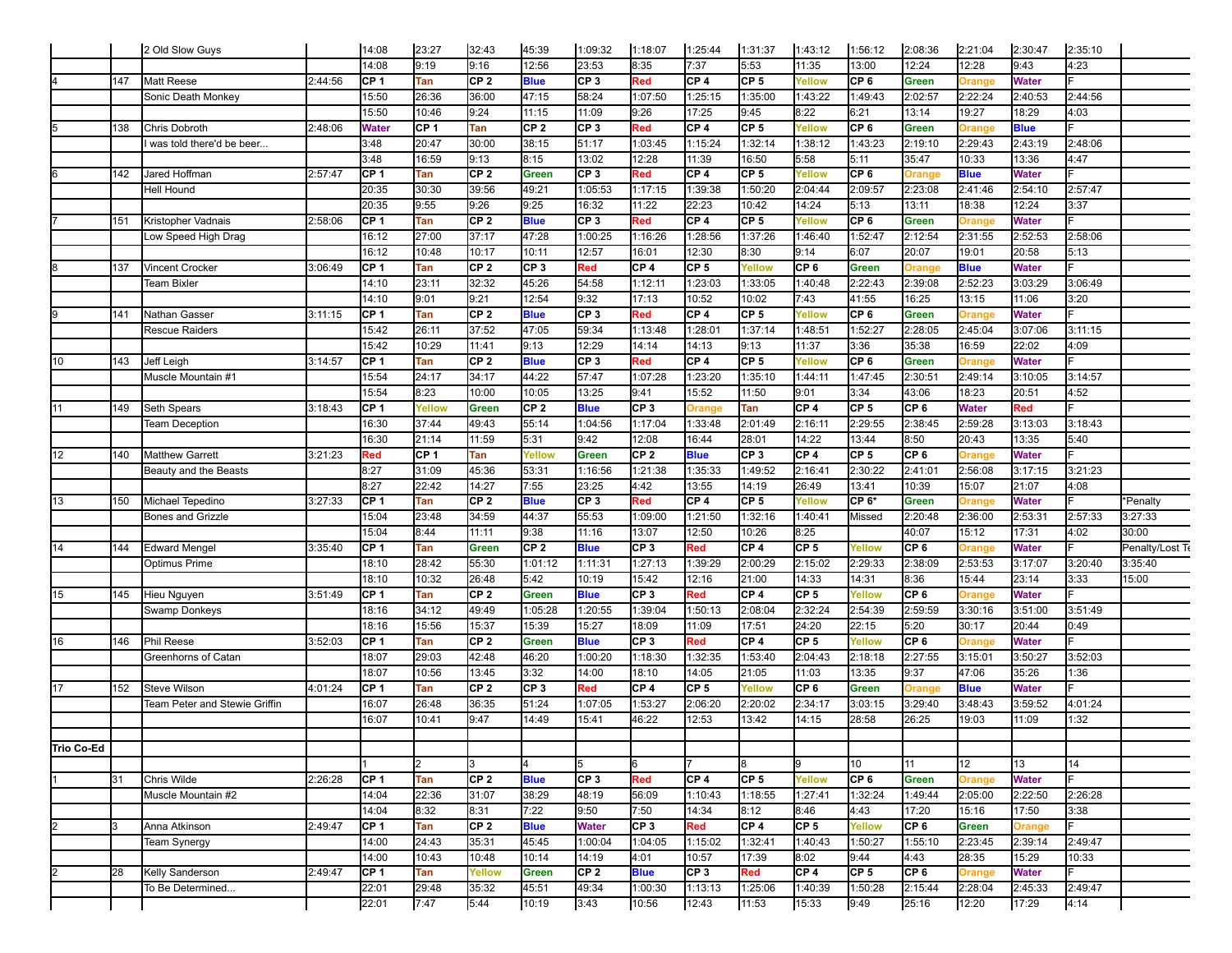|            |     | 2 Old Slow Guys               |         | 14:08        | 23:27  | 32:43           | 45:39                | 1:09:32         | 1:18:07         | 1:25:44         | 1:31:37         | 1:43:12         | 1:56:12         | 2:08:36          | 2:21:04                  | 2:30:47      | 2:35:10 |                 |
|------------|-----|-------------------------------|---------|--------------|--------|-----------------|----------------------|-----------------|-----------------|-----------------|-----------------|-----------------|-----------------|------------------|--------------------------|--------------|---------|-----------------|
|            |     |                               |         | 14:08        | 9:19   | 9:16            | 12:56                | 23:53           | 8:35            | 7:37            | 5:53            | 11:35           | 13:00           | 12:24            | 12:28                    | 9:43         | 4:23    |                 |
|            | 147 | Matt Reese                    | 2:44:56 | CF1          | Tan    | CF <sub>2</sub> | <b>Blue</b>          | CP3             | Red             | CP <sub>4</sub> | CP <sub>5</sub> | Yellow          | CP 6            | Green            | <b>Orange</b>            | <b>Water</b> |         |                 |
|            |     | Sonic Death Monkey            |         | 15:50        | 26:36  | 36:00           | 47:15                | 58:24           | 1:07:50         | 1:25:15         | 1:35:00         | 1:43:22         | :49:43          | 2:02:57          | 2:22:24                  | 2:40:53      | 2:44:56 |                 |
|            |     |                               |         | 15:50        | 10:46  | 9:24            | 11:15                | 11:09           | 9:26            | 17:25           | 9:45            | 8:22            | 6:21            | 13:14            | 19:27                    | 18:29        | 4:03    |                 |
|            | 138 | Chris Dobroth                 | 2:48:06 | <b>Water</b> | CF 1   | Tan             | CP <sub>2</sub>      | CP <sub>3</sub> | Red             | CP <sub>4</sub> | CP <sub>5</sub> | Yellow          | CP <sub>6</sub> | Green            | <b>Orange</b>            | <b>Blue</b>  |         |                 |
|            |     | was told there'd be beer      |         | 3:48         | 20:47  | 30:00           | 38:15                | 51:17           | 1:03:45         | 1:15:24         | 1:32:14         | 1:38:12         | 1:43:23         | 2:19:10          | 2:29:43                  | 2:43:19      | 2:48:06 |                 |
|            |     |                               |         | 3:48         | 16:59  | 9:13            | 8:15                 | 13:02           | 12:28           | 11:39           | 16:50           | 5:58            | 5:11            | 35:47            | 10:33                    | 13:36        | 4:47    |                 |
|            | 142 | Jared Hoffman                 | 2:57:47 | CF 1         | Tan    | CF <sub>2</sub> | Green                | CP <sub>3</sub> | Red             | CP <sub>4</sub> | CP <sub>5</sub> | Yellow          | CP <sub>6</sub> | Orange           | <b>Blue</b>              | <b>Water</b> |         |                 |
|            |     | Hell Hound                    |         | 20:35        | 30:30  | 39:56           | 49:21                | 1:05:53         | 1:17:15         | 1:39:38         | 1:50:20         | 2:04:44         | 2:09:57         | 2:23:08          | 2:41:46                  | 2:54:10      | 2:57:47 |                 |
|            |     |                               |         | 20:35        | 9:55   | 9:26            | 9:25                 | 16:32           | 11:22           | 22:23           | 10:42           | 14:24           | 5:13            | 13:11            | 18:38                    | 12:24        | 3:37    |                 |
|            |     | Kristopher Vadnais            | 2:58:06 | ICP 1        | Tan    | CF <sub>2</sub> |                      | CP <sub>3</sub> | Red             | CP 4            | CP <sub>5</sub> | Yellow          | CP <sub>6</sub> |                  |                          | <b>Water</b> |         |                 |
|            | 151 |                               |         |              | 27:00  | 37:17           | <b>Blue</b><br>47:28 |                 | 1:16:26         | 1:28:56         | 1:37:26         |                 |                 | Green<br>2:12:54 | <b>Orange</b><br>2:31:55 | 2:52:53      |         |                 |
|            |     | ow Speed High Drag            |         | 16:12        |        |                 |                      | 1:00:25         |                 |                 |                 | 1:46:40         | 1:52:47         |                  |                          |              | 2:58:06 |                 |
|            |     |                               |         | 16:12        | 10:48  | 10:17           | 10:11                | 12:57           | 16:01           | 12:30           | 8:30            | 9:14            | 6:07            | 20:07            | 19:01                    | 20:58        | 5:13    |                 |
|            | 137 | <b>Vincent Crocker</b>        | 3:06:49 | ICP 1        | Tan    | CP <sub>2</sub> | CP <sub>3</sub>      | Red             | CP <sub>4</sub> | CP <sub>5</sub> | Yellow          | CP <sub>6</sub> | Green           | Orange           | <b>Blue</b>              | <b>Water</b> |         |                 |
|            |     | <b>Team Bixler</b>            |         | 14:10        | 23:11  | 32:32           | 45:26                | 54:58           | 1:12:11         | 1:23:03         | 1:33:05         | 1:40:48         | 2:22:43         | 2:39:08          | 2:52:23                  | 3:03:29      | 3:06:49 |                 |
|            |     |                               |         | 14:10        | 9:01   | 9:21            | 12:54                | 9:32            | 17:13           | 10:52           | 10:02           | 7:43            | 41:55           | 16:25            | 13:15                    | 11:06        | 3:20    |                 |
|            | 141 | Nathan Gasser                 | 3:11:15 | ICP 1        | Tan    | CP <sub>2</sub> | <b>Blue</b>          | CP3             | Red             | CP 4            | CP <sub>5</sub> | Yellow          | CP 6            | Green            | <b>Orange</b>            | <b>Water</b> |         |                 |
|            |     | Rescue Raiders                |         | 15:42        | 26:11  | 37:52           | 47:05                | 59:34           | 1:13:48         | 1:28:01         | 1:37:14         | 1:48:51         | 1:52:27         | 2:28:05          | 2:45:04                  | 3:07:06      | 3:11:15 |                 |
|            |     |                               |         | 15:42        | 10:29  | 11:41           | 9:13                 | 12:29           | 14:14           | 14:13           | 9:13            | 11:37           | 3:36            | 35:38            | 16:59                    | 22:02        | 4:09    |                 |
| 10         | 143 | Jeff Leigh                    | 3:14:57 | ICP 1        | Tan    | CP <sub>2</sub> | <b>Blue</b>          | CP <sub>3</sub> | Red             | CP 4            | CP <sub>5</sub> | Yellow          | CP <sub>6</sub> | Green            | <b>Orange</b>            | <b>Water</b> |         |                 |
|            |     | Muscle Mountain #1            |         | 15:54        | 24:17  | 34:17           | 44:22                | 57:47           | 1:07:28         | 1:23:20         | 1:35:10         | 1:44:11         | 1:47:45         | 2:30:51          | 2:49:14                  | 3:10:05      | 3:14:57 |                 |
|            |     |                               |         | 15:54        | 8:23   | 10:00           | 10:05                | 13:25           | 9:41            | 15:52           | 11:50           | 9:01            | 3:34            | 43:06            | 18:23                    | 20:51        | 4:52    |                 |
|            | 149 | Seth Spears                   | 3:18:43 | ICP 1        | Yellow | <b>Green</b>    | CP <sub>2</sub>      | <b>Blue</b>     | CP <sub>3</sub> | <b>Drange</b>   | Tan             | CP <sub>4</sub> | CP <sub>5</sub> | CP 6             | Water                    | Red          |         |                 |
|            |     | <b>Team Deception</b>         |         | 16:30        | 37:44  | 49:43           | 55:14                | 1:04:56         | 1:17:04         | 1:33:48         | 2:01:49         | 2:16:11         | 2:29:55         | 2:38:45          | 2:59:28                  | 3:13:03      | 3:18:43 |                 |
|            |     |                               |         | 16:30        | 21:14  | 11:59           | 5:31                 | 9:42            | 12:08           | 16:44           | 28:01           | 14:22           | 13:44           | 8:50             | 20:43                    | 13:35        | 5:40    |                 |
| 12         | 140 | <b>Matthew Garrett</b>        | 3:21:23 | Red          | ICP 1  | Tan             | Yellow               | <b>Green</b>    | CP <sub>2</sub> | <b>Blue</b>     | CP <sub>3</sub> | CP 4            | CP <sub>5</sub> | CP <sub>6</sub>  | <b>Orange</b>            | <b>Water</b> |         |                 |
|            |     | Beauty and the Beasts         |         | 8:27         | 31:09  | 45:36           | 53:31                | 1:16:56         | 1:21:38         | 1:35:33         | 1:49:52         | 2:16:41         | 2:30:22         | 2:41:01          | 2:56:08                  | 3:17:15      | 3:21:23 |                 |
|            |     |                               |         | 8:27         | 22:42  | 14:27           | 7:55                 | 23:25           | 4:42            | 13:55           | 14:19           | 26:49           | 13:41           | 10:39            | 15:07                    | 21:07        | 4:08    |                 |
| 13         | 150 | Michael Tepedino              | 3:27:33 | ICP 1        | Tan    | CP <sub>2</sub> | <b>Blue</b>          | CP <sub>3</sub> | Red             | CP 4            | CP <sub>5</sub> | Yellow          | CP 6*           | Green            | <b>Orange</b>            | <b>Water</b> |         | *Penalty        |
|            |     | Bones and Grizzle             |         | 15:04        | 23:48  | 34:59           | 44:37                | 55:53           | 1:09:00         | 1:21:50         | 1:32:16         | 1:40:41         | Missed          | 2:20:48          | 2:36:00                  | 2:53:31      | 2:57:33 | 3:27:33         |
|            |     |                               |         | 15:04        | 8:44   | 11:11           | 9:38                 | 11:16           | 13:07           | 12:50           | 10:26           | 8:25            |                 | 40:07            | 15:12                    | 17:31        | 4:02    | 30:00           |
| 14         | 144 | <b>Edward Mengel</b>          | 3:35:40 | ICP 1        | Tan    | <b>Green</b>    | CP <sub>2</sub>      | <b>Blue</b>     | CP <sub>3</sub> | ₹ed             | CP <sub>4</sub> | CP <sub>5</sub> | Yellow          | CP 6             | <b>Orange</b>            | <b>Water</b> |         | Penalty/Lost Te |
|            |     | Optimus Prime                 |         | 18:10        | 28:42  | 55:30           | 1:01:12              | 1:11:31         | 1:27:13         | 1:39:29         | 2:00:29         | 2:15:02         | 2:29:33         | 2:38:09          | 2:53:53                  | 3:17:07      | 3:20:40 | 3:35:40         |
|            |     |                               |         | 18:10        | 10:32  | 26:48           | 5:42                 | 10:19           | 15:42           | 12:16           | 21:00           | 14:33           | 14:31           | 8:36             | 15:44                    | 23:14        | 3:33    | 15:00           |
|            |     |                               |         | ICP 1        |        | CP <sub>2</sub> |                      |                 | CP <sub>3</sub> |                 | CP 4            |                 |                 | CP 6             |                          | <b>Water</b> |         |                 |
| 15         | 145 | Hieu Nguyen                   | 3:51:49 |              | Tan    |                 | <b>Green</b>         | <b>Blue</b>     |                 | ₹ed             |                 | CP <sub>5</sub> | Yellow          |                  | Orange                   |              |         |                 |
|            |     | <b>Swamp Donkeys</b>          |         | 18:16        | 34:12  | 49:49           | 1:05:28              | 1:20:55         | 1:39:04         | 1:50:13         | 2:08:04         | 2:32:24         | 2:54:39         | 2:59:59          | 3:30:16                  | 3:51:00      | 3:51:49 |                 |
|            |     |                               |         | 18:16        | 15:56  | 15:37           | 15:39                | 15:27           | 18:09           | 11:09           | 17:51           | 24:20           | 22:15           | 5:20             | 30:17                    | 20:44        | 0:49    |                 |
| 16         | 146 | Phil Reese                    | 3:52:03 | ICP 1        | Tan    | CP <sub>2</sub> | <b>Green</b>         | <b>Blue</b>     | CP <sub>3</sub> | ₹ed             | CP <sub>4</sub> | CP <sub>5</sub> | Yellow          | CP 6             | <b>Orange</b>            | <b>Water</b> |         |                 |
|            |     | Greenhorns of Catan           |         | 18:07        | 29:03  | 42:48           | 46:20                | 1:00:20         | 1:18:30         | 1:32:35         | 1:53:40         | 2:04:43         | 2:18:18         | 2:27:55          | 3:15:01                  | 3:50:27      | 3:52:03 |                 |
|            |     |                               |         | 18:07        | 10:56  | 13:45           | 3:32                 | 14:00           | 18:10           | 14:05           | 21:05           | 11:03           | 13:35           | 9:37             | 47:06                    | 35:26        | 1:36    |                 |
| 17         | 152 | <b>Steve Wilson</b>           | 4:01:24 | CP 1         | Tan    | CP <sub>2</sub> | CP 3                 | Red             | CP <sub>4</sub> | CP <sub>5</sub> | Yellow          | CP <sub>6</sub> | Green           | Orange           | <b>Blue</b>              | <b>Water</b> |         |                 |
|            |     | Team Peter and Stewie Griffin |         | 16:07        | 26:48  | 36:35           | 51:24                | 1:07:05         | 1:53:27         | 2:06:20         | 2:20:02         | 2:34:17         | 3:03:15         | 3:29:40          | 3:48:43                  | 3:59:52      | 4:01:24 |                 |
|            |     |                               |         | 16:07        | 10:41  | 9:47            | 14:49                | 15:41           | 46:22           | 12:53           | 13:42           | 14:15           | 28:58           | 26:25            | 19:03                    | 11:09        | 1:32    |                 |
|            |     |                               |         |              |        |                 |                      |                 |                 |                 |                 |                 |                 |                  |                          |              |         |                 |
| Trio Co-Ed |     |                               |         |              |        |                 |                      |                 |                 |                 |                 |                 |                 |                  |                          |              |         |                 |
|            |     |                               |         |              | I2     | l3              |                      | 5               | 6               |                 | 8               | 9               | 10              | 11               | 12                       | 13           | 14      |                 |
|            | 131 | Chris Wilde                   | 2:26:28 | ICP 1        | Tan    | CP <sub>2</sub> | <b>Blue</b>          | CP <sub>3</sub> | Red             | CP 4            | CP <sub>5</sub> | Yellow          | CP <sub>6</sub> | <b>Green</b>     | Orange                   | <b>Water</b> |         |                 |
|            |     | Muscle Mountain #2            |         | 14:04        | 22:36  | 31:07           | 38:29                | 48:19           | 56:09           | 1:10:43         | 1:18:55         | 1:27:41         | 1:32:24         | 1:49:44          | 2:05:00                  | 2:22:50      | 2:26:28 |                 |
|            |     |                               |         | 14:04        | 8:32   | 8:31            | 7:22                 | 9:50            | 7:50            | 14:34           | 8:12            | 8:46            | 4:43            | 17:20            | 15:16                    | 17:50        | 3:38    |                 |
| I2         | l3  | Anna Atkinson                 | 2:49:47 | CP 1         | Tan    | CP <sub>2</sub> | <b>Blue</b>          | <b>Water</b>    | CP <sub>3</sub> | ₹ed             | CP <sub>4</sub> | CP <sub>5</sub> | Yellow          | CP 6             | Green                    | Orange       |         |                 |
|            |     | <b>Team Synergy</b>           |         | 14:00        | 24:43  | 35:31           | 45:45                | 1:00:04         | 1:04:05         | 1:15:02         | 1:32:41         | 1:40:43         | 1:50:27         | 1:55:10          | 2:23:45                  | 2:39:14      | 2:49:47 |                 |
|            |     |                               |         | 14:00        | 10:43  | 10:48           | 10:14                | 14:19           | 4:01            | 10:57           | 17:39           | 8:02            | 9:44            | 4:43             | 28:35                    | 15:29        | 10:33   |                 |
|            | 28  | Kelly Sanderson               | 2:49:47 | CP 1         | Tan    | Yellow          | Green                | CP <sub>2</sub> | <b>Blue</b>     | CP <sub>3</sub> | Red             | CP <sub>4</sub> | CP 5            | CP 6             | Orange                   | <b>Water</b> |         |                 |
|            |     | To Be Determined              |         | 22:01        | 29:48  | 35:32           | 45:51                | 49:34           | 1:00:30         | 1:13:13         | 1:25:06         | 1:40:39         | 1:50:28         | 2:15:44          | 2:28:04                  | 2:45:33      | 2:49:47 |                 |
|            |     |                               |         | 22:01        | 7:47   | 5:44            | 10:19                | 3:43            | 10:56           | 12:43           | 11:53           | 15:33           | 9:49            | 25:16            | 12:20                    | 17:29        | 4:14    |                 |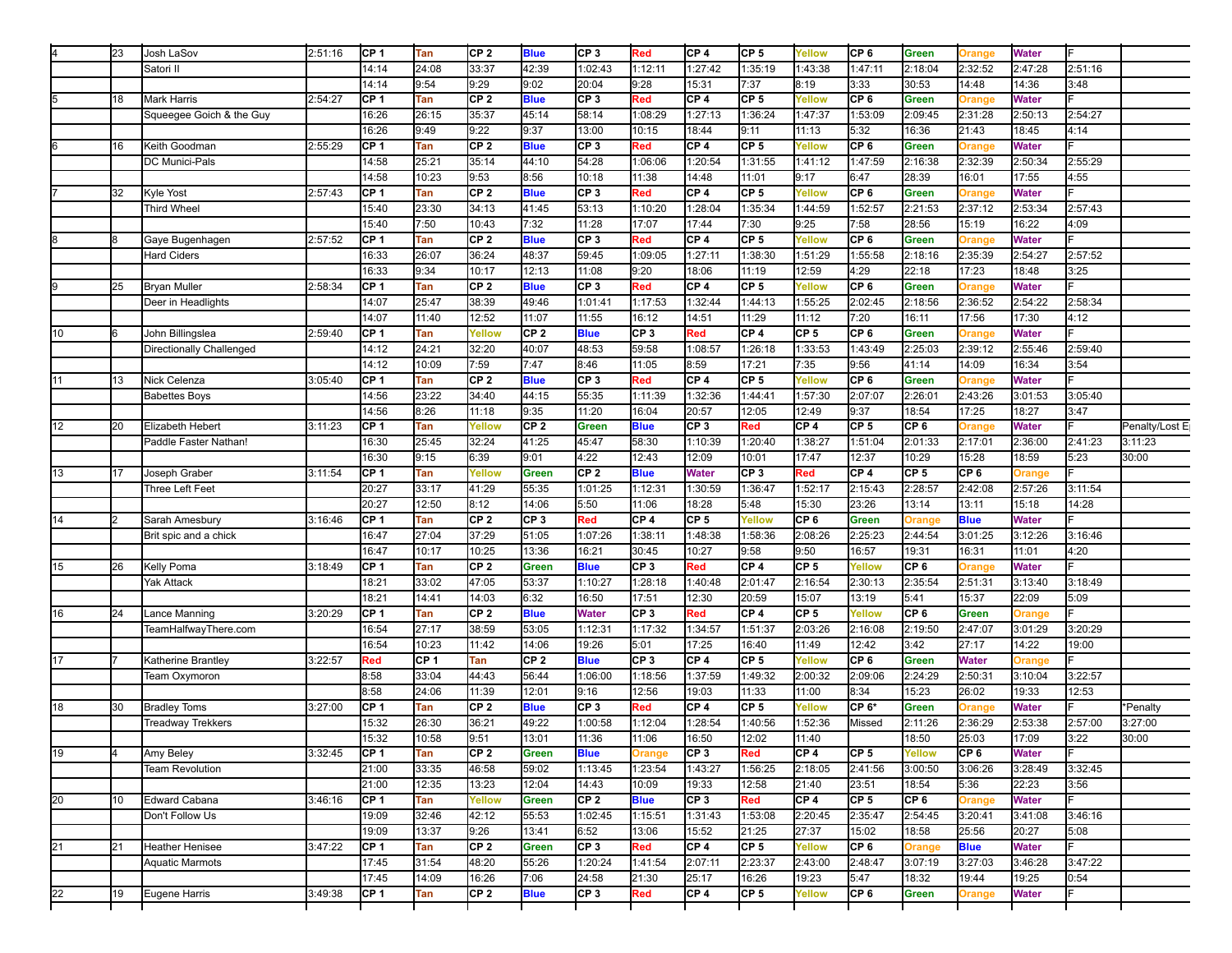|    | 23 | Josh LaSov               | 2:51:16 | ICP 1           | <b>Tan</b> | CP <sub>2</sub> | <b>Blue</b>     | CP <sub>3</sub>          | Red             | CP <sub>4</sub> | CP 5            | Yellow          | CP 6            | Green           | <b>Drange</b>   | <b>Water</b> |         |                |
|----|----|--------------------------|---------|-----------------|------------|-----------------|-----------------|--------------------------|-----------------|-----------------|-----------------|-----------------|-----------------|-----------------|-----------------|--------------|---------|----------------|
|    |    | Satori II                |         | 14:14           | 24:08      | 33:37           | 42:39           | 1:02:43                  | 1:12:11         | 1:27:42         | 1:35:19         | 1:43:38         | 1:47:11         | 2:18:04         | 2:32:52         | 2:47:28      | 2:51:16 |                |
|    |    |                          |         | 14:14           | 9:54       | 9:29            | 9:02            | 20:04                    | 9:28            | 15:31           | 7:37            | 8:19            | 3:33            | 30:53           | 14:48           | 14:36        | 3:48    |                |
|    | 18 | Mark Harris              | 2:54:27 | CP 1            | Tan        | CP <sub>2</sub> | <b>Blue</b>     | CP <sub>3</sub>          | Red             | CP <sub>4</sub> | CF <sub>5</sub> | Yellow          | CP <sub>6</sub> | Green           | <b>Drange</b>   | <b>Water</b> |         |                |
|    |    | Squeegee Goich & the Guy |         | 16:26           | 26:15      | 35:37           | 45:14           | 58:14                    | 1:08:29         | 1:27:13         | 1:36:24         | 1:47:37         | 1:53:09         | 2:09:45         | 2:31:28         | 2:50:13      | 2:54:27 |                |
|    |    |                          |         | 16:26           | 9:49       | 9:22            | 9:37            | 13:00                    | 10:15           | 18:44           | 9:11            | 11:13           | 5:32            | 16:36           | 21:43           | 18:45        | 4:14    |                |
|    | 16 | Keith Goodman            | 2:55:29 | ICP 1           | Tan        | CF <sub>2</sub> | <b>Blue</b>     | CP <sub>3</sub>          | Red             | CP <sub>4</sub> | CF <sub>5</sub> | Yellow          | CP <sub>6</sub> |                 |                 | <b>Water</b> |         |                |
|    |    |                          |         |                 |            |                 |                 |                          |                 |                 |                 |                 |                 | Green           | <b>Drange</b>   |              |         |                |
|    |    | DC Munici-Pals           |         | 14:58           | 25:21      | 35:14           | 44:10           | 54:28                    | 1:06:06         | 1:20:54         | 1:31:55         | 1:41:12         | 1:47:59         | 2:16:38         | 2:32:39         | 2:50:34      | 2:55:29 |                |
|    |    |                          |         | 14:58           | 10:23      | 9:53            | 8:56            | 10:18                    | 11:38           | 14:48           | 11:01           | 9:17            | 6:47            | 28:39           | 16:01           | 17:55        | 4:55    |                |
|    | 32 | Kyle Yost                | 2:57:43 | CP <sub>1</sub> | Tan        | CF <sub>2</sub> | <b>Blue</b>     | CP <sub>3</sub>          | Red             | CP <sub>4</sub> | CP <sub>5</sub> | Yellow          | CP <sub>6</sub> | Green           | <b>Drange</b>   | <b>Water</b> |         |                |
|    |    | <b>Third Wheel</b>       |         | 15:40           | 23:30      | 34:13           | 41:45           | 53:13                    | 1:10:20         | 1:28:04         | 1:35:34         | 1:44:59         | 1:52:57         | 2:21:53         | 2:37:12         | 2:53:34      | 2:57:43 |                |
|    |    |                          |         | 15:40           | 7:50       | 10:43           | 7:32            | 11:28                    | 17:07           | 17:44           | 7:30            | 9:25            | 7:58            | 28:56           | 15:19           | 16:22        | 4:09    |                |
|    | l8 | Gaye Bugenhagen          | 2:57:52 | CP <sub>1</sub> | Tan        | CP <sub>2</sub> | <b>Blue</b>     | CP <sub>3</sub>          | Red             | CP <sub>4</sub> | CP <sub>5</sub> | Yellow          | CP <sub>6</sub> | Green           | <b>Drange</b>   | <b>Water</b> |         |                |
|    |    | <b>Hard Ciders</b>       |         | 16:33           | 26:07      | 36:24           | 48:37           | 59:45                    | 1:09:05         | 1:27:11         | 1:38:30         | 1:51:29         | 1:55:58         | 2:18:16         | 2:35:39         | 2:54:27      | 2:57:52 |                |
|    |    |                          |         | 16:33           | 9:34       | 10:17           | 12:13           | 11:08                    | 9:20            | 18:06           | 11:19           | 12:59           | 4:29            | 22:18           | 17:23           | 18:48        | 3:25    |                |
|    | 25 | <b>Bryan Muller</b>      | 2:58:34 | CP <sub>1</sub> | Tan        | CP <sub>2</sub> | <b>Blue</b>     | CP <sub>3</sub>          | Red             | CP <sub>4</sub> | CP <sub>5</sub> | Yellow          | CP <sub>6</sub> | Green           | <b>Drange</b>   | <b>Water</b> |         |                |
|    |    | Deer in Headlights       |         | 14:07           | 25:47      | 38:39           | 49:46           | 1:01:41                  | 1:17:53         | 1:32:44         | 1:44:13         | 1:55:25         | 2:02:45         | 2:18:56         | 2:36:52         | 2:54:22      | 2:58:34 |                |
|    |    |                          |         | 14:07           | 11:40      | 12:52           | 11:07           | 11:55                    | 16:12           | 14:51           | 11:29           | 11:12           | 7:20            | 16:11           | 17:56           | 17:30        | 4:12    |                |
| 10 | l6 | John Billingslea         | 2:59:40 | CP 1            | Tan        | Yellow          | CP <sub>2</sub> | <b>Blue</b>              | CP <sub>3</sub> | Red             | CP 4            | CP 5            | CP <sub>6</sub> | Green           | <b>Drange</b>   | <b>Water</b> |         |                |
|    |    | Directionally Challenged |         | 14:12           | 24:21      | 32:20           | 40:07           | 48:53                    | 59:58           | 1:08:57         | 1:26:18         | 1:33:53         | 1:43:49         | 2:25:03         | 2:39:12         | 2:55:46      | 2:59:40 |                |
|    |    |                          |         |                 |            | 7:59            |                 |                          |                 | 8:59            |                 |                 |                 |                 |                 |              |         |                |
|    |    |                          |         | 14:12           | 10:09      |                 | 7:47            | 8:46                     | 11:05           |                 | 17:21           | 7:35            | 9:56            | 41:14           | 14:09           | 16:34        | 3:54    |                |
| 11 | 13 | Nick Celenza             | 3:05:40 | CP <sub>1</sub> | Tan        | CF <sub>2</sub> | <b>Blue</b>     | CP <sub>3</sub>          | Red             | CP <sub>4</sub> | CP 5            | Yellow          | CP <sub>6</sub> | Green           | <b>Drange</b>   | <b>Water</b> |         |                |
|    |    | <b>Babettes Boys</b>     |         | 14:56           | 23:22      | 34:40           | 44:15           | 55:35                    | 1:11:39         | 1:32:36         | 1:44:41         | 1:57:30         | 2:07:07         | 2:26:01         | 2:43:26         | 3:01:53      | 3:05:40 |                |
|    |    |                          |         | 14:56           | 8:26       | 11:18           | 9:35            | 11:20                    | 16:04           | 20:57           | 12:05           | 12:49           | 9:37            | 18:54           | 17:25           | 18:27        | 3:47    |                |
| 12 | 20 | Elizabeth Hebert         | 3:11:23 | CP 1            | Tan        | Yellow          | CF <sub>2</sub> | Green                    | <b>Blue</b>     | CP <sub>3</sub> | Red             | CP 4            | CP <sub>5</sub> | CP <sub>6</sub> | <b>Drange</b>   | <b>Water</b> |         | Penalty/Lost E |
|    |    | Paddle Faster Nathan!    |         | 16:30           | 25:45      | 32:24           | 41:25           | 45:47                    | 58:30           | 1:10:39         | 1:20:40         | 1:38:27         | 1:51:04         | 2:01:33         | 2:17:01         | 2:36:00      | 2:41:23 | 3:11:23        |
|    |    |                          |         | 16:30           | 9:15       | 6:39            | 9:01            | 4:22                     | 12:43           | 12:09           | 10:01           | 17:47           | 12:37           | 10:29           | 15:28           | 18:59        | 5:23    | 30:00          |
| 13 | 17 | Joseph Graber            | 3:11:54 | CP 1            | Tan        | Yellow          | <b>Green</b>    | CP <sub>2</sub>          | <b>Blue</b>     | Water           | CP <sub>3</sub> | Red             | CP 4            | CP <sub>5</sub> | CP <sub>6</sub> | Orange       |         |                |
|    |    | Three Left Feet          |         | 20:27           | 33:17      | 41:29           | 55:35           | 1:01:25                  | 1:12:31         | 1:30:59         | 1:36:47         | 1:52:17         | 2:15:43         | 2:28:57         | 2:42:08         | 2:57:26      | 3:11:54 |                |
|    |    |                          |         | 20:27           | 12:50      | 8:12            | 14:06           | 5:50                     | 11:06           | 18:28           | 5:48            | 15:30           | 23:26           | 13:14           | 13:11           | 15:18        | 14:28   |                |
| 14 | l2 | Sarah Amesbury           | 3:16:46 | CF 1            | Tan        | CF <sub>2</sub> | CP <sub>3</sub> | Red                      | CP 4            | CP <sub>5</sub> | Yellow          | CP <sub>6</sub> | Green           | Orange          | <b>Blue</b>     | <b>Water</b> |         |                |
|    |    | Brit spic and a chick    |         | 16:47           | 27:04      | 37:29           | 51:05           | 1:07:26                  | 1:38:11         | 1:48:38         | 1:58:36         | 2:08:26         | 2:25:23         | 2:44:54         | 3:01:25         | 3:12:26      | 3:16:46 |                |
|    |    |                          |         | 16:47           | 10:17      | 10:25           | 13:36           | 16:21                    | 30:45           | 10:27           | 9:58            | 9:50            | 16:57           | 19:31           | 16:31           | 11:01        | 4:20    |                |
| 15 | 26 | Kelly Poma               | 3:18:49 | CF 1            | Tan        | CF <sub>2</sub> | <b>Green</b>    | <b>Blue</b>              | CP <sub>3</sub> | Red             | CF <sub>4</sub> | CP 5            | Yellow          | CP <sub>6</sub> | Orange          | <b>Water</b> |         |                |
|    |    | <b>Yak Attack</b>        |         | 18:21           | 33:02      | 47:05           | 53:37           | 1:10:27                  | 1:28:18         | 1:40:48         | 2:01:47         | 2:16:54         | 2:30:13         | 2:35:54         | 2:51:31         | 3:13:40      | 3:18:49 |                |
|    |    |                          |         | 18:21           |            |                 |                 |                          |                 | 12:30           |                 |                 |                 |                 | 15:37           |              |         |                |
|    |    |                          |         |                 | 14:41      | 14:03           | 6:32            | 16:50                    | 17:51           |                 | 20:59           | 15:07           | 13:19           | 5:41            |                 | 22:09        | 5:09    |                |
| 16 | 24 | Lance Manning            | 3:20:29 | CF 1            | Tan        | CF <sub>2</sub> | <b>Blue</b>     | <b>Water</b>             | CP <sub>3</sub> | Red             | CF <sub>4</sub> | CP 5            | Yellow          | CP <sub>6</sub> | Green           | Orange       |         |                |
|    |    | TeamHalfwayThere.com     |         | 16:54           | 27:17      | 38:59           | 53:05           | 1:12:31                  | 1:17:32         | 1:34:57         | 1:51:37         | 2:03:26         | 2:16:08         | 2:19:50         | 2:47:07         | 3:01:29      | 3:20:29 |                |
|    |    |                          |         | 16:54           | 10:23      | 11:42           | 14:06           | 19:26                    | 5:01            | 17:25           | 16:40           | 11:49           | 12:42           | 3:42            | 27:17           | 14:22        | 19:00   |                |
| 17 |    | Katherine Brantley       | 3:22:57 | Red             | CF 1       | Tan             | CP <sub>2</sub> | <b>Blue</b>              | CF <sub>3</sub> | CP <sub>4</sub> | CF <sub>5</sub> | Yellow          | CP <sub>6</sub> | <b>Green</b>    | <b>Water</b>    | Orange       |         |                |
|    |    | Team Oxymoron            |         | 8:58            | 33:04      | 44:43           | 56:44           | 1:06:00                  | 1:18:56         | 1:37:59         | 1:49:32         | 2:00:32         | 2:09:06         | 2:24:29         | 2:50:31         | 3:10:04      | 3:22:57 |                |
|    |    |                          |         | 8:58            | 24:06      | 11:39           | 12:01           | 9:16                     | 12:56           | 19:03           | 11:33           | 11:00           | 8:34            | 15:23           | 26:02           | 19:33        | 12:53   |                |
| 18 | 30 | <b>Bradley Toms</b>      | 3:27:00 | CP 1            | Tan        | CP <sub>2</sub> | <b>Blue</b>     | CP <sub>3</sub>          | Red             | CP 4            | CP <sub>5</sub> | Yellow          | CP 6*           | <b>Green</b>    | <b>Drange</b>   | Water        |         | *Penalty       |
|    |    | <b>Treadway Trekkers</b> |         | 15:32           | 26:30      | 36:21           | 49:22           | 1:00:58                  | 1:12:04         | 1:28:54         | 1:40:56         | 1:52:36         | Missed          | 2:11:26         | 2:36:29         | 2:53:38      | 2:57:00 | 3:27:00        |
|    |    |                          |         | 15:32           | 10:58      | 9:51            | 13:01           | 11:36                    | 11:06           | 16:50           | 12:02           | 11:40           |                 | 18:50           | 25:03           | 17:09        | 3:22    | 30:00          |
| 19 | l4 | Amy Beley                | 3:32:45 | CP 1            | <b>Tan</b> | CP <sub>2</sub> | <b>Green</b>    | <b>Blue</b>              | Orange          | CP <sub>3</sub> | Red             | CP 4            | CP 5            | Yellow          | CP 6            | <b>Water</b> |         |                |
|    |    | <b>Team Revolution</b>   |         | 21:00           | 33:35      | 46:58           | 59:02           | 1:13:45                  | 1:23:54         | 1:43:27         | 1:56:25         | 2:18:05         | 2:41:56         | 3:00:50         | 3:06:26         | 3:28:49      | 3:32:45 |                |
|    |    |                          |         |                 |            | 13:23           | 12:04           |                          |                 | 19:33           | 12:58           |                 |                 |                 | 5:36            | 22:23        | 3:56    |                |
|    |    |                          |         | 21:00           | 12:35      |                 |                 | 14:43<br>CP <sub>2</sub> | 10:09           | CP <sub>3</sub> |                 | 21:40<br>ICP 4  | 23:51           | 18:54           |                 |              |         |                |
| 20 | 10 | Edward Cabana            | 3:46:16 | CP 1            | Tan        | <b>Yellow</b>   | <b>Green</b>    |                          | <b>Blue</b>     |                 | Red             |                 | CP 5            | CP 6            | Orange          | <b>Water</b> |         |                |
|    |    | Don't Follow Us          |         | 19:09           | 32:46      | 42:12           | 55:53           | 1:02:45                  | 1:15:51         | 1:31:43         | 1:53:08         | 2:20:45         | 2:35:47         | 2:54:45         | 3:20:41         | 3:41:08      | 3:46:16 |                |
|    |    |                          |         | 19:09           | 13:37      | 9:26            | 13:41           | 6:52                     | 13:06           | 15:52           | 21:25           | 27:37           | 15:02           | 18:58           | 25:56           | 20:27        | 5:08    |                |
| 21 | 21 | Heather Henisee          | 3:47:22 | CP 1            | Tan        | CP <sub>2</sub> | <b>Green</b>    | CP <sub>3</sub>          | Red             | CP <sub>4</sub> | CP 5            | Yellow          | CP 6            | Orange          | <b>Blue</b>     | <b>Water</b> |         |                |
|    |    | <b>Aquatic Marmots</b>   |         | 17:45           | 31:54      | 48:20           | 55:26           | 1:20:24                  | 1:41:54         | 2:07:11         | 2:23:37         | 2:43:00         | 2:48:47         | 3:07:19         | 3:27:03         | 3:46:28      | 3:47:22 |                |
|    |    |                          |         | 17:45           | 14:09      | 16:26           | 7:06            | 24:58                    | 21:30           | 25:17           | 16:26           | 19:23           | 5:47            | 18:32           | 19:44           | 19:25        | 0:54    |                |
| 22 | 19 | Eugene Harris            | 3:49:38 | CP 1            | Tan        | CP <sub>2</sub> | <b>Blue</b>     | CP <sub>3</sub>          | Red             | CP 4            | CP 5            | Yellow          | CP 6            | Green           | Orange          | <b>Water</b> |         |                |
|    |    |                          |         |                 |            |                 |                 |                          |                 |                 |                 |                 |                 |                 |                 |              |         |                |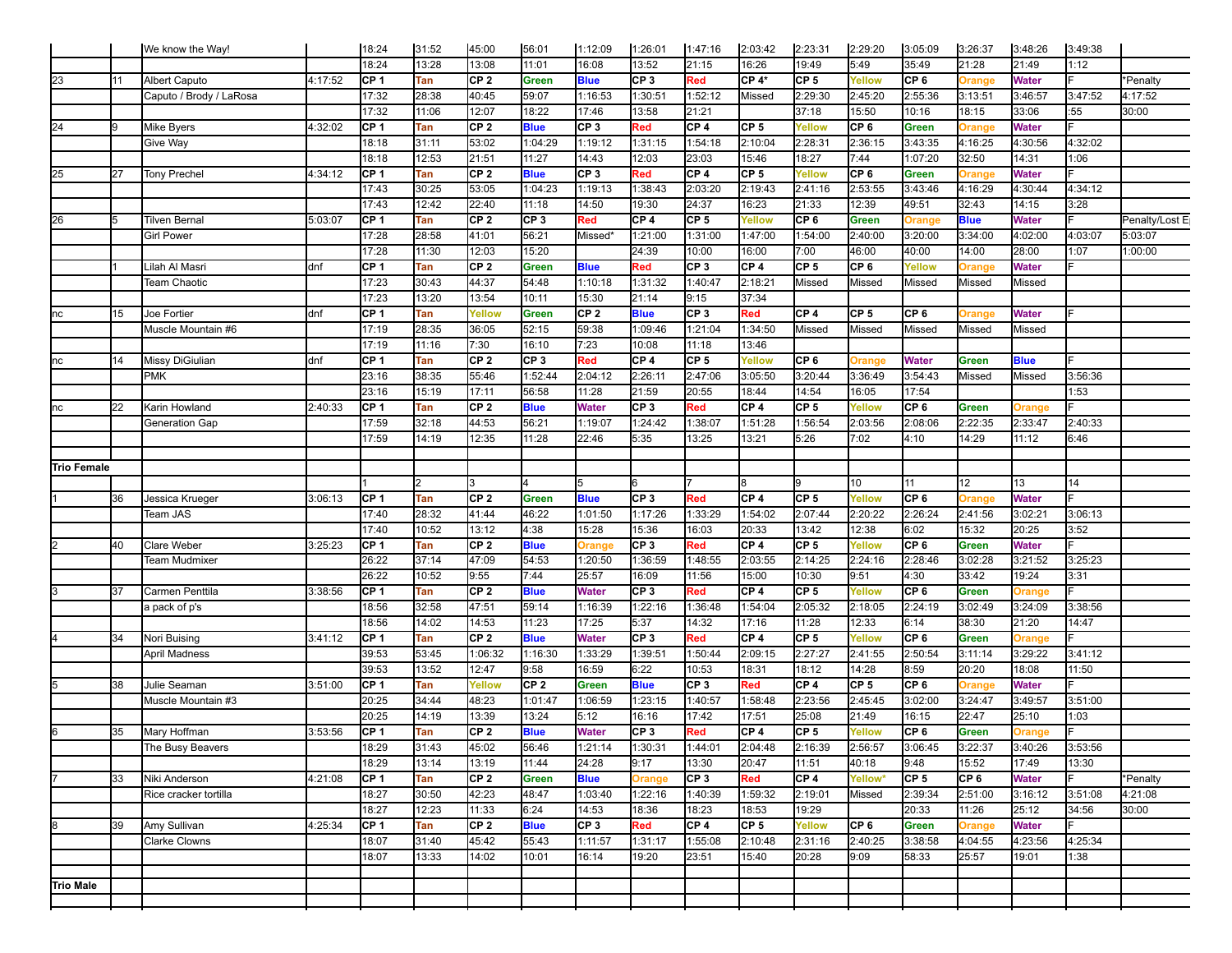|                  |     | We know the Way!        |         | 18:24 | 31:52      | 45:00           | 56:01           | 1:12:09         | 1:26:01         | 1:47:16         | 2:03:42         | 2:23:31         | 2:29:20         | 3:05:09         | 3:26:37       | 3:48:26       | 3:49:38 |                |
|------------------|-----|-------------------------|---------|-------|------------|-----------------|-----------------|-----------------|-----------------|-----------------|-----------------|-----------------|-----------------|-----------------|---------------|---------------|---------|----------------|
|                  |     |                         |         | 18:24 | 13:28      | 13:08           | 11:01           | 16:08           | 13:52           | 21:15           | 16:26           | 19:49           | 5:49            | 35:49           | 21:28         | 21:49         | 1:12    |                |
| 23               | 11  | <b>Albert Caputo</b>    | 4:17:52 | CP 1  | Tan        | CP <sub>2</sub> | <b>Green</b>    | <b>Blue</b>     | CP <sub>3</sub> | Red             | CP 4*           | CP <sub>5</sub> | Yellow          | CP <sub>6</sub> | <b>Orange</b> | <b>Water</b>  |         | *Penalty       |
|                  |     | Caputo / Brody / LaRosa |         | 17:32 | 28:38      | 40:45           | 59:07           | 1:16:53         | 1:30:51         | 1:52:12         | Missed          | 2:29:30         | 2:45:20         | 2:55:36         | 3:13:51       | 3:46:57       | 3:47:52 | 4:17:52        |
|                  |     |                         |         | 17:32 | 11:06      | 12:07           | 18:22           | 17:46           | 13:58           | 21:21           |                 | 37:18           | 15:50           | 10:16           | 18:15         | 33:06         | :55     | 30:00          |
| 24               | l9  | <b>Mike Byers</b>       | 4:32:02 | CP 1  | Tan        | CP <sub>2</sub> | <b>Blue</b>     | CP <sub>3</sub> | Red             | CP <sub>4</sub> | CP <sub>5</sub> | Yellow          | CP 6            | Green           | Orange        | <b>Water</b>  |         |                |
|                  |     | Give Way                |         | 18:18 | 31:11      | 53:02           | 1:04:29         | 1:19:12         | 1:31:15         | 1:54:18         | 2:10:04         | 2:28:31         | 2:36:15         | 3:43:35         | 4:16:25       | 4:30:56       | 4:32:02 |                |
|                  |     |                         |         | 18:18 | 12:53      | 21:51           | 11:27           | 14:43           | 12:03           | 23:03           | 15:46           | 18:27           | 7:44            | 1:07:20         | 32:50         | 14:31         | 1:06    |                |
| 25               | 127 | <b>Tony Prechel</b>     | 4:34:12 | CF 1  | Tan        | CP <sub>2</sub> | <b>Blue</b>     | CP <sub>3</sub> | Red             | CP <sub>4</sub> | CP <sub>5</sub> | Yellow          | CP <sub>6</sub> | <b>Green</b>    | <b>Orange</b> | <b>Water</b>  |         |                |
|                  |     |                         |         | 17:43 | 30:25      | 53:05           | 1:04:23         | 1:19:13         | 1:38:43         | 2:03:20         | 2:19:43         | 2:41:16         | 2:53:55         | 3:43:46         | 4:16:29       | 4:30:44       | 4:34:12 |                |
|                  |     |                         |         | 17:43 | 12:42      | 22:40           | 11:18           | 14:50           | 19:30           | 24:37           | 16:23           | 21:33           | 12:39           | 49:51           | 32:43         | 14:15         | 3:28    |                |
| 26               | l5  | Tilven Bernal           | 5:03:07 | CP 1  | Tan        | CP <sub>2</sub> | CP <sub>3</sub> | Red             | CP <sub>4</sub> | CP <sub>5</sub> | Yellow          | CP 6            | <b>Green</b>    | Orange          | <b>Blue</b>   | Water         |         | Penalty/Lost E |
|                  |     | <b>Girl Power</b>       |         | 17:28 | 28:58      | 41:01           | 56:21           | Missed*         | 1:21:00         | 1:31:00         | 1:47:00         | 1:54:00         | 2:40:00         | 3:20:00         | 3:34:00       | 4:02:00       | 4:03:07 | 5:03:07        |
|                  |     |                         |         | 17:28 | 11:30      | 12:03           | 15:20           |                 | 24:39           | 10:00           | 16:00           | 7:00            | 46:00           | 40:00           | 14:00         | 28:00         | 1:07    | 1:00:00        |
|                  |     | Lilah Al Masri          | ldnf    | CF 1  | Tan        | CP <sub>2</sub> | <b>Green</b>    | <b>Blue</b>     | Red             | CP <sub>3</sub> | CP <sub>4</sub> | CP <sub>5</sub> | CP <sub>6</sub> | Yellow          | <b>Drange</b> | <b>Water</b>  |         |                |
|                  |     | Team Chaotic            |         | 17:23 | 30:43      | 44:37           | 54:48           | 1:10:18         | 1:31:32         | 1:40:47         | 2:18:21         | Missed          | Missed          | Missed          | Missed        | Missed        |         |                |
|                  |     |                         |         | 17:23 | 13:20      | 13:54           | 10:11           | 15:30           | 21:14           | 9:15            | 37:34           |                 |                 |                 |               |               |         |                |
| nc               | 15  | Joe Fortier             | ldnf    | CP 1  | Tan        | Yellow          | <b>Green</b>    | CP <sub>2</sub> | <b>Blue</b>     | CP <sub>3</sub> | Red             | CP <sub>4</sub> | CP <sub>5</sub> | CF6             | Orange        | <b>Water</b>  |         |                |
|                  |     | Muscle Mountain #6      |         | 17:19 | 28:35      | 36:05           | 52:15           | 59:38           | 1:09:46         | 1:21:04         | 1:34:50         | Missed          | Missed          | Missed          | Missed        | Missed        |         |                |
|                  |     |                         |         | 17:19 | 11:16      | 7:30            | 16:10           | 7:23            | 10:08           | 11:18           | 13:46           |                 |                 |                 |               |               |         |                |
| nc               | 14  | Missy DiGiulian         | ldnf    | CP 1  | Tan        | CP <sub>2</sub> | CP <sub>3</sub> | Red             | CP <sub>4</sub> | CP <sub>5</sub> | Yellow          | CP <sub>6</sub> | Orange          | <b>Water</b>    | Green         | <b>Blue</b>   |         |                |
|                  |     | PMK                     |         | 23:16 | 38:35      | 55:46           | 1:52:44         | 2:04:12         | 2:26:11         | 2:47:06         | 3:05:50         | 3:20:44         | 3:36:49         | 3:54:43         | Missed        | Missed        | 3:56:36 |                |
|                  |     |                         |         | 23:16 | 15:19      | 17:11           | 56:58           | 11:28           | 21:59           | 20:55           | 18:44           | 14:54           | 16:05           | 17:54           |               |               | 1:53    |                |
| nc               | 22  | Karin Howland           | 2:40:33 | CP 1  | Tan        | CP <sub>2</sub> | <b>Blue</b>     | Water           | CP <sub>3</sub> | Red             | CP <sub>4</sub> | CP <sub>5</sub> | Yellow          | CP 6            | Green         | Orange        |         |                |
|                  |     | Generation Gap          |         | 17:59 | 32:18      | 44:53           | 56:21           | 1:19:07         | 1:24:42         | 1:38:07         | 1:51:28         | 1:56:54         | 2:03:56         | 2:08:06         | 2:22:35       | 2:33:47       | 2:40:33 |                |
|                  |     |                         |         | 17:59 | 14:19      | 12:35           | 11:28           | 22:46           | 5:35            | 13:25           | 13:21           | 5:26            | 7:02            | 4:10            | 14:29         | 11:12         | 6:46    |                |
|                  |     |                         |         |       |            |                 |                 |                 |                 |                 |                 |                 |                 |                 |               |               |         |                |
| Trio Female      |     |                         |         |       |            |                 |                 |                 |                 |                 |                 |                 |                 |                 |               |               |         |                |
|                  |     |                         |         |       | 2          |                 |                 | 5               | 6               |                 |                 |                 | 10              | 11              | 12            | 13            | 14      |                |
|                  | 36  | Jessica Krueger         | 3:06:13 | ICP 1 | Tan        | CP <sub>2</sub> | <b>Green</b>    | <b>Blue</b>     | CP <sub>3</sub> | Red             | CP 4            | CP 5            | Yellow          | CP 6            | <b>Drange</b> | <b>Water</b>  |         |                |
|                  |     | Team JAS                |         | 17:40 | 28:32      | 41:44           | 46:22           | 1:01:50         | 1:17:26         | 1:33:29         | 1:54:02         | 2:07:44         | 2:20:22         | 2:26:24         | 2:41:56       | 3:02:21       | 3:06:13 |                |
|                  |     |                         |         | 17:40 | 10:52      | 13:12           | 4:38            | 15:28           | 15:36           | 16:03           | 20:33           | 13:42           | 12:38           | 6:02            | 15:32         | 20:25         | 3:52    |                |
|                  | 40  | <b>Clare Weber</b>      | 3:25:23 | CP 1  | Tan        | CP <sub>2</sub> | <b>Blue</b>     | <b>Orange</b>   | CP <sub>3</sub> | Red             | CF <sub>4</sub> | CP <sub>5</sub> | Yellow          | CP 6            | Green         | <b>Water</b>  |         |                |
|                  |     | Team Mudmixer           |         | 26:22 | 37:14      | 47:09           | 54:53           | 1:20:50         | 1:36:59         | 1:48:55         | 2:03:55         | 2:14:25         | 2:24:16         | 2:28:46         | 3:02:28       | 3:21:52       | 3:25:23 |                |
|                  |     |                         |         | 26:22 | 10:52      | 9:55            | 7:44            | 25:57           | 16:09           | 11:56           | 15:00           | 10:30           | 9:51            | 4:30            | 33:42         | 19:24         | 3:31    |                |
|                  | 37  | Carmen Penttila         | 3:38:56 | CP 1  | Tan        | CP <sub>2</sub> | <b>Blue</b>     | <b>Water</b>    | CP <sub>3</sub> | Red             | CF <sub>4</sub> | CP 5            | Yellow          | CP 6            | Green         | Orange        |         |                |
|                  |     | a pack of p's           |         | 18:56 | 32:58      | 47:51           | 59:14           | 1:16:39         | 1:22:16         | 1:36:48         | 1:54:04         | 2:05:32         | 2:18:05         | 2:24:19         | 3:02:49       | 3:24:09       | 3:38:56 |                |
|                  |     |                         |         | 18:56 | 14:02      | 14:53           | 11:23           | 17:25           | 5:37            | 14:32           | 17:16           | 11:28           | 12:33           | 6:14            | 38:30         | 21:20         | 14:47   |                |
|                  | 34  | Nori Buising            | 3:41:12 | CP 1  | Tan        | CP <sub>2</sub> | <b>Blue</b>     | <b>Water</b>    | CP <sub>3</sub> | Red             | CF <sub>4</sub> | CP <sub>5</sub> | Yellow          | CP 6            | Green         | Orange        |         |                |
|                  |     | <b>April Madness</b>    |         | 39:53 | 53:45      | 1:06:32         | 1:16:30         | 1:33:29         | 1:39:51         | 1:50:44         | 2:09:15         | 2:27:27         | 2:41:55         | 2:50:54         | 3:11:14       | 3:29:22       | 3:41:12 |                |
|                  |     |                         |         | 39:53 | 13:52      | 12:47           | 9:58            | 16:59           | 6:22            | 10:53           | 18:31           | 18:12           | 14:28           | 8:59            | 20:20         | 18:08         | 11:50   |                |
|                  | 38  | Julie Seaman            | 3:51:00 | CP 1  | Tan        | <b>Yellow</b>   | CP <sub>2</sub> | Green           | <b>Blue</b>     | CP <sub>3</sub> | Red             | CP 4            | CP <sub>5</sub> | CP 6            | <b>Drange</b> | <b>Water</b>  |         |                |
|                  |     | Muscle Mountain #3      |         | 20:25 | 34:44      | 48:23           | 1:01:47         | 1:06:59         | 1:23:15         | 1:40:57         | 1:58:48         | 2:23:56         | 2:45:45         | 3:02:00         | 3:24:47       | 3:49:57       | 3:51:00 |                |
|                  |     |                         |         | 20:25 | 14:19      | 13:39           | 13:24           | 5:12            | 16:16           | 17:42           | 17:51           | 25:08           | 21:49           | 16:15           | 22:47         | 25:10         | 1:03    |                |
| 16               | 35  | Mary Hoffman            | 3:53:56 | ICP 1 | Tan        | CP <sub>2</sub> | <b>Blue</b>     | <b>Water</b>    | CP <sub>3</sub> | Red             | CP 4            | CP <sub>5</sub> | Yellow          | CP 6            | Green         | <b>Orange</b> |         |                |
|                  |     | The Busy Beavers        |         | 18:29 | 31:43      | 45:02           | 56:46           | 1:21:14         | 1:30:31         | 1:44:01         | 2:04:48         | 2:16:39         | 2:56:57         | 3:06:45         | 3:22:37       | 3:40:26       | 3:53:56 |                |
|                  |     |                         |         | 18:29 | 13:14      | 13:19           | 11:44           | 24:28           | 9:17            | 13:30           | 20:47           | 11:51           | 40:18           | 9:48            | 15:52         | 17:49         | 13:30   |                |
|                  | 33  | Niki Anderson           | 4:21:08 | CP 1  | Tan        | CP <sub>2</sub> | <b>Green</b>    | <b>Blue</b>     | Orange          | CP <sub>3</sub> | Red             | CP 4            | Yellow*         | CP 5            | CP 6          | <b>Water</b>  |         | *Penalty       |
|                  |     | Rice cracker tortilla   |         | 18:27 | 30:50      | 42:23           | 48:47           | 1:03:40         | 1:22:16         | 1:40:39         | 1:59:32         | 2:19:01         | Missed          | 2:39:34         | 2:51:00       | 3:16:12       | 3:51:08 | 4:21:08        |
|                  |     |                         |         | 18:27 | 12:23      | 11:33           | 6:24            | 14:53           | 18:36           | 18:23           | 18:53           | 19:29           |                 | 20:33           | 11:26         | 25:12         | 34:56   | 30:00          |
| l8               | 39  | Amy Sullivan            | 4:25:34 | CP 1  | <b>Tan</b> | CP <sub>2</sub> | <b>Blue</b>     | CP 3            | <b>Red</b>      | CP 4            | CP <sub>5</sub> | Yellow          | CP 6            | Green           | <b>Drange</b> | <b>Water</b>  |         |                |
|                  |     | <b>Clarke Clowns</b>    |         | 18:07 | 31:40      | 45:42           | 55:43           | 1:11:57         | 1:31:17         | 1:55:08         | 2:10:48         | 2:31:16         | 2:40:25         | 3:38:58         | 4:04:55       | 4:23:56       | 4:25:34 |                |
|                  |     |                         |         | 18:07 | 13:33      | 14:02           | 10:01           | 16:14           | 19:20           | 23:51           | 15:40           | 20:28           | 9:09            | 58:33           | 25:57         | 19:01         | 1:38    |                |
|                  |     |                         |         |       |            |                 |                 |                 |                 |                 |                 |                 |                 |                 |               |               |         |                |
|                  |     |                         |         |       |            |                 |                 |                 |                 |                 |                 |                 |                 |                 |               |               |         |                |
|                  |     |                         |         |       |            |                 |                 |                 |                 |                 |                 |                 |                 |                 |               |               |         |                |
| <b>Trio Male</b> |     |                         |         |       |            |                 |                 |                 |                 |                 |                 |                 |                 |                 |               |               |         |                |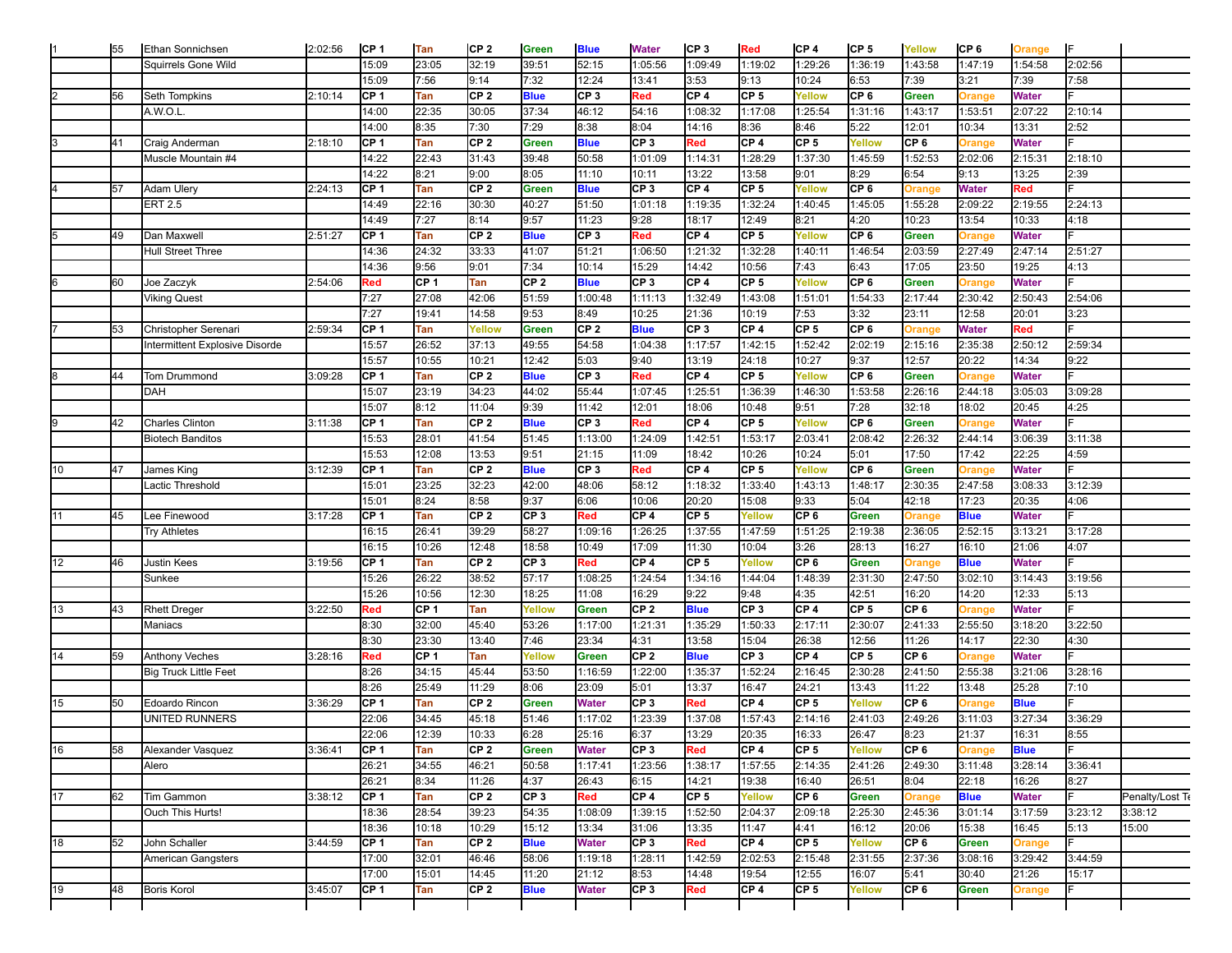|    | 55 | Ethan Sonnichsen               | 2:02:56 | CP <sub>1</sub> | Tan             | CP <sub>2</sub> | Green           | <b>Blue</b>     | <b>Water</b>             | CP 3            | Red             | CP <sub>4</sub> | CP <sub>5</sub> | Yellow          | CP <sub>6</sub> | Orange        | I⊧      |                 |
|----|----|--------------------------------|---------|-----------------|-----------------|-----------------|-----------------|-----------------|--------------------------|-----------------|-----------------|-----------------|-----------------|-----------------|-----------------|---------------|---------|-----------------|
|    |    | Squirrels Gone Wild            |         | 15:09           | 23:05           | 32:19           | 39:51           | 52:15           | 1:05:56                  | 1:09:49         | 1:19:02         | 1:29:26         | 1:36:19         | 1:43:58         | 1:47:19         | 1:54:58       | 2:02:56 |                 |
|    |    |                                |         | 15:09           | 7:56            | 9:14            | 7:32            | 12:24           | 13:41                    | 3:53            | 9:13            | 10:24           | 6:53            | 7:39            | 3:21            | 7:39          | 7:58    |                 |
|    | 56 | Seth Tompkins                  | 2:10:14 | CP 1            | Tan             | CP <sub>2</sub> | <b>Blue</b>     | CP <sub>3</sub> | Red                      | CP <sub>4</sub> | CP <sub>5</sub> | Yellow          | CP 6            | Green           | <b>Drange</b>   | <b>Water</b>  |         |                 |
|    |    | A.W.O.L.                       |         | 14:00           | 22:35           | 30:05           | 37:34           | 46:12           | 54:16                    | 1:08:32         | 1:17:08         | 1:25:54         | 1:31:16         | 1:43:17         | 1:53:51         | 2:07:22       | 2:10:14 |                 |
|    |    |                                |         | 14:00           | 8:35            | 7:30            | 7:29            | 8:38            | 8:04                     | 14:16           | 8:36            | 8:46            | 5:22            | 12:01           | 10:34           | 13:31         | 2:52    |                 |
|    | 41 | Craig Anderman                 | 2:18:10 | CP 1            | Tan             | CP <sub>2</sub> | <b>Green</b>    | <b>Blue</b>     | CP <sub>3</sub>          | Red             | CF <sub>4</sub> | CP <sub>5</sub> | Yellow          | CP <sub>6</sub> | <b>Drange</b>   | <b>Water</b>  |         |                 |
|    |    | Muscle Mountain #4             |         | 14:22           | 22:43           | 31:43           | 39:48           | 50:58           | 1:01:09                  | 1:14:31         | 1:28:29         | 1:37:30         | 1:45:59         | 1:52:53         | 2:02:06         | 2:15:31       | 2:18:10 |                 |
|    |    |                                |         | 14:22           | 8:21            | 9:00            | 8:05            | 11:10           | 10:11                    | 13:22           | 13:58           | 9:01            | 8:29            | 6:54            | 9:13            | 13:25         | 2:39    |                 |
|    | 57 | Adam Ulery                     | 2:24:13 | CP <sub>1</sub> | Tan             | CP <sub>2</sub> | <b>Green</b>    | <b>Blue</b>     | CP <sub>3</sub>          | CP 4            | CP <sub>5</sub> | Yellow          | CP <sub>6</sub> | <b>Orange</b>   | <b>Water</b>    | Red           |         |                 |
|    |    | <b>ERT 2.5</b>                 |         |                 | 22:16           | 30:30           | 40:27           |                 |                          |                 | 1:32:24         | 1:40:45         |                 |                 | 2:09:22         | 2:19:55       |         |                 |
|    |    |                                |         | 14:49           |                 |                 |                 | 51:50           | 1:01:18                  | 1:19:35         |                 |                 | 1:45:05         | 1:55:28         |                 |               | 2:24:13 |                 |
|    |    |                                |         | 14:49           | 7:27            | 8:14            | 9:57            | 11:23           | 9:28                     | 18:17           | 12:49           | 8:21            | 4:20            | 10:23           | 13:54           | 10:33         | 4:18    |                 |
|    | 49 | Dan Maxwell                    | 2:51:27 | CP 1            | Tan             | CP <sub>2</sub> | <b>Blue</b>     | CP <sub>3</sub> | Red                      | CP 4            | CP 5            | Yellow          | CP 6            | Green           | <b>Drange</b>   | <b>Water</b>  |         |                 |
|    |    | <b>Hull Street Three</b>       |         | 14:36           | 24:32           | 33:33           | 41:07           | 51:21           | 1:06:50                  | 1:21:32         | 1:32:28         | 1:40:11         | 1:46:54         | 2:03:59         | 2:27:49         | 2:47:14       | 2:51:27 |                 |
|    |    |                                |         | 14:36           | 9:56            | 9:01            | 7:34            | 10:14           | 15:29                    | 14:42           | 10:56           | 7:43            | 6:43            | 17:05           | 23:50           | 19:25         | 4:13    |                 |
|    | 60 | Joe Zaczyk                     | 2:54:06 | Red             | CF 1            | Tan             | CF <sub>2</sub> | <b>Blue</b>     | CP <sub>3</sub>          | CP 4            | CP <sub>5</sub> | Yellow          | CP <sub>6</sub> | Green           | <b>Drange</b>   | <b>Water</b>  |         |                 |
|    |    | <b>Viking Quest</b>            |         | 7:27            | 27:08           | 42:06           | 51:59           | 1:00:48         | 1:11:13                  | 1:32:49         | 1:43:08         | 1:51:01         | 1:54:33         | 2:17:44         | 2:30:42         | 2:50:43       | 2:54:06 |                 |
|    |    |                                |         | 7:27            | 19:41           | 14:58           | 9:53            | 8:49            | 10:25                    | 21:36           | 10:19           | 7:53            | 3:32            | 23:11           | 12:58           | 20:01         | 3:23    |                 |
|    | 53 | Christopher Serenari           | 2:59:34 | CP <sub>1</sub> | Tan             | Yellow          | Green           | CP <sub>2</sub> | <b>Blue</b>              | CP <sub>3</sub> | CP 4            | CP <sub>5</sub> | CP <sub>6</sub> | Orange          | Water           | Red           |         |                 |
|    |    | Intermittent Explosive Disorde |         | 15:57           | 26:52           | 37:13           | 49:55           | 54:58           | 1:04:38                  | 1:17:57         | 1:42:15         | 1:52:42         | 2:02:19         | 2:15:16         | 2:35:38         | 2:50:12       | 2:59:34 |                 |
|    |    |                                |         | 15:57           | 10:55           | 10:21           | 12:42           | 5:03            | 9:40                     | 13:19           | 24:18           | 10:27           | 9:37            | 12:57           | 20:22           | 14:34         | 9:22    |                 |
|    | 44 | Tom Drummond                   | 3:09:28 | CP <sub>1</sub> | Tan             | CP <sub>2</sub> | <b>Blue</b>     | CP <sub>3</sub> | Red                      | CP 4            | CP <sub>5</sub> | Yellow          | CP <sub>6</sub> | Green           | <b>Drange</b>   | <b>Water</b>  |         |                 |
|    |    | DAH                            |         | 15:07           | 23:19           | 34:23           | 44:02           | 55:44           | 1:07:45                  | 1:25:51         | 1:36:39         | 1:46:30         | 1:53:58         | 2:26:16         | 2:44:18         | 3:05:03       | 3:09:28 |                 |
|    |    |                                |         | 15:07           | 8:12            | 11:04           | 9:39            | 11:42           | 12:01                    | 18:06           | 10:48           | 9:51            | 7:28            | 32:18           | 18:02           | 20:45         | 4:25    |                 |
|    | 42 | <b>Charles Clinton</b>         | 3:11:38 | CP 1            | Tan             | CP <sub>2</sub> | <b>Blue</b>     | CP <sub>3</sub> | Red                      | CP 4            | CP <sub>5</sub> | Yellow          | CF <sub>6</sub> | Green           | <b>Orange</b>   | <b>Water</b>  |         |                 |
|    |    | <b>Biotech Banditos</b>        |         | 15:53           | 28:01           | 41:54           | 51:45           | 1:13:00         | 1:24:09                  | 1:42:51         | 1:53:17         | 2:03:41         | 2:08:42         | 2:26:32         | 2:44:14         | 3:06:39       | 3:11:38 |                 |
|    |    |                                |         | 15:53           | 12:08           | 13:53           | 9:51            | 21:15           | 11:09                    | 18:42           | 10:26           | 10:24           | 5:01            | 17:50           | 17:42           | 22:25         | 4:59    |                 |
| 10 | 47 | James King                     | 3:12:39 | CP <sub>1</sub> | Tan             | CP <sub>2</sub> | <b>Blue</b>     | CP <sub>3</sub> | Red                      | CP 4            | CP <sub>5</sub> | Yellow          | CP <sub>6</sub> | Green           | <b>Drange</b>   | <b>Water</b>  |         |                 |
|    |    | Lactic Threshold               |         | 15:01           | 23:25           | 32:23           | 42:00           | 48:06           | 58:12                    | 1:18:32         | 1:33:40         | 1:43:13         | 1:48:17         | 2:30:35         | 2:47:58         | 3:08:33       | 3:12:39 |                 |
|    |    |                                |         | 15:01           | 8:24            | 8:58            | 9:37            | 6:06            | 10:06                    | 20:20           | 15:08           | 9:33            | 5:04            | 42:18           | 17:23           | 20:35         | 4:06    |                 |
|    | 45 | Lee Finewood                   | 3:17:28 | CP 1            | Tan             | CP <sub>2</sub> | CP <sub>3</sub> | Red             | CP <sub>4</sub>          | CP <sub>5</sub> | Yellow          | CP <sub>6</sub> | Green           |                 | <b>Blue</b>     | <b>Water</b>  |         |                 |
|    |    |                                |         |                 | 26:41           | 39:29           | 58:27           |                 | 1:26:25                  | 1:37:55         | 1:47:59         |                 |                 | Orange          | 2:52:15         | 3:13:21       |         |                 |
|    |    | <b>Try Athletes</b>            |         | 16:15           |                 |                 |                 | 1:09:16         |                          |                 |                 | 1:51:25         | 2:19:38         | 2:36:05         |                 |               | 3:17:28 |                 |
|    |    |                                |         | 16:15           | 10:26           | 12:48           | 18:58           | 10:49           | 17:09                    | 11:30           | 10:04           | 3:26            | 28:13           | 16:27           | 16:10           | 21:06         | 4:07    |                 |
| 12 | 46 | <b>Justin Kees</b>             | 3:19:56 | CP <sub>1</sub> | Tan             | CP <sub>2</sub> | CP <sub>3</sub> | Red             | CP <sub>4</sub>          | CP <sub>5</sub> | Yellow          | CP <sub>6</sub> | Green           | Orange          | <b>Blue</b>     | <b>Water</b>  |         |                 |
|    |    | Sunkee                         |         | 15:26           | 26:22           | 38:52           | 57:17           | 1:08:25         | 1:24:54                  | 1:34:16         | 1:44:04         | 1:48:39         | 2:31:30         | 2:47:50         | 3:02:10         | 3:14:43       | 3:19:56 |                 |
|    |    |                                |         | 15:26           | 10:56           | 12:30           | 18:25           | 11:08           | 16:29                    | 9:22            | 9:48            | 4:35            | 42:51           | 16:20           | 14:20           | 12:33         | 5:13    |                 |
| 13 | 43 | <b>Rhett Dreger</b>            | 3:22:50 | Red             | CF 1            | Tan             | Yellow          | Green           | CP <sub>2</sub>          | <b>Blue</b>     | CP <sub>3</sub> | CP <sub>4</sub> | CP <sub>5</sub> | CP <sub>6</sub> | <b>Orange</b>   | <b>Water</b>  |         |                 |
|    |    | Maniacs                        |         | 8:30            | 32:00           | 45:40           | 53:26           | 1:17:00         | 1:21:31                  | 1:35:29         | 1:50:33         | 2:17:11         | 2:30:07         | 2:41:33         | 2:55:50         | 3:18:20       | 3:22:50 |                 |
|    |    |                                |         | 8:30            | 23:30           | 13:40           | 7:46            | 23:34           | 4:31                     | 13:58           | 15:04           | 26:38           | 12:56           | 11:26           | 14:17           | 22:30         | 4:30    |                 |
| 14 | 59 | <b>Anthony Veches</b>          | 3:28:16 | Red             | CP <sub>1</sub> | Tan             | Yellow          | Green           | CP <sub>2</sub>          | <b>Blue</b>     | CP <sub>3</sub> | CP <sub>4</sub> | CP <sub>5</sub> | CP <sub>6</sub> | <b>Drange</b>   | <b>Water</b>  |         |                 |
|    |    | <b>Big Truck Little Feet</b>   |         | 8:26            | 34:15           | 45:44           | 53:50           | 1:16:59         | 1:22:00                  | 1:35:37         | 1:52:24         | 2:16:45         | 2:30:28         | 2:41:50         | 2:55:38         | 3:21:06       | 3:28:16 |                 |
|    |    |                                |         | 8:26            | 25:49           | 11:29           | 8:06            | 23:09           | 5:01                     | 13:37           | 16:47           | 24:21           | 13:43           | 11:22           | 13:48           | 25:28         | 7:10    |                 |
| 15 | 50 | <b>Edoardo Rincon</b>          | 3:36:29 | CP 1            | Tan             | CP <sub>2</sub> | <b>Green</b>    | Water           | CP <sub>3</sub>          | Red             | CP <sub>4</sub> | CP <sub>5</sub> | Yellow          | CP <sub>6</sub> | <b>Drange</b>   | <b>Blue</b>   |         |                 |
|    |    | <b>UNITED RUNNERS</b>          |         | 22:06           | 34:45           | 45:18           | 51:46           | 1:17:02         | 1:23:39                  | 1:37:08         | 1:57:43         | 2:14:16         | 2:41:03         | 2:49:26         | 3:11:03         | 3:27:34       | 3:36:29 |                 |
|    |    |                                |         | 22:06           | 12:39           | 10:33           | 6:28            | 25:16           | 6:37                     | 13:29           | 20:35           | 16:33           | 26:47           | 8:23            | 21:37           | 16:31         | 8:55    |                 |
| 16 | 58 | Alexander Vasquez              | 3:36:41 | CP 1            | Tan             | CP 2            | Green           | Water           | CP <sub>3</sub>          | Red             | CP 4            | CP 5            | Yellow          | CP 6            | Orange          | <b>Blue</b>   |         |                 |
|    |    | Alero                          |         | 26:21           | 34:55           | 46:21           | 50:58           | 1:17:41         | 1:23:56                  | 1:38:17         | 1:57:55         | 2:14:35         | 2:41:26         | 2:49:30         | 3:11:48         | 3:28:14       | 3:36:41 |                 |
|    |    |                                |         | 26:21           | 8:34            | 11:26           | 4:37            | 26:43           | 6:15                     | 14:21           | 19:38           | 16:40           | 26:51           | 8:04            | 22:18           | 16:26         | 8:27    |                 |
| 17 | 62 | Tim Gammon                     | 3:38:12 | CP <sub>1</sub> | Tan             | CP <sub>2</sub> | CP <sub>3</sub> | Red             | CP <sub>4</sub>          | CP <sub>5</sub> | Yellow          | CP 6            | Green           | Orange          | <b>Blue</b>     | Water         |         | Penalty/Lost Te |
|    |    | Ouch This Hurts!               |         | 18:36           | 28:54           | 39:23           | 54:35           | 1:08:09         | 1:39:15                  | 1:52:50         | 2:04:37         | 2:09:18         | 2:25:30         | 2:45:36         | 3:01:14         | 3:17:59       | 3:23:12 | 3:38:12         |
|    |    |                                |         | 18:36           | 10:18           | 10:29           | 15:12           | 13:34           |                          | 13:35           | 11:47           | 4:41            | 16:12           | 20:06           | 15:38           | 16:45         | 5:13    | 15:00           |
|    | 52 |                                |         |                 |                 | CP <sub>2</sub> |                 |                 | 31:06<br>CP <sub>3</sub> |                 | CP 4            | CP <sub>5</sub> |                 | CP <sub>6</sub> |                 |               |         |                 |
| 18 |    | John Schaller                  | 3:44:59 | CP <sub>1</sub> | Tan             |                 | <b>Blue</b>     | Water           |                          | Red             |                 |                 | Yellow          |                 | Green           | <b>Drange</b> |         |                 |
|    |    | American Gangsters             |         | 17:00           | 32:01           | 46:46           | 58:06           | 1:19:18         | 1:28:11                  | 1:42:59         | 2:02:53         | 2:15:48         | 2:31:55         | 2:37:36         | 3:08:16         | 3:29:42       | 3:44:59 |                 |
|    |    |                                |         | 17:00           | 15:01           | 14:45           | 11:20           | 21:12           | 8:53                     | 14:48           | 19:54           | 12:55           | 16:07           | 5:41            | 30:40           | 21:26         | 15:17   |                 |
| 19 | 48 | Boris Korol                    | 3:45:07 | CP 1            | Tan             | CP 2            | <b>Blue</b>     | Water           | CP <sub>3</sub>          | Red             | CP 4            | CP 5            | Yellow          | CP 6            | Green           | Orange        |         |                 |
|    |    |                                |         |                 |                 |                 |                 |                 |                          |                 |                 |                 |                 |                 |                 |               |         |                 |